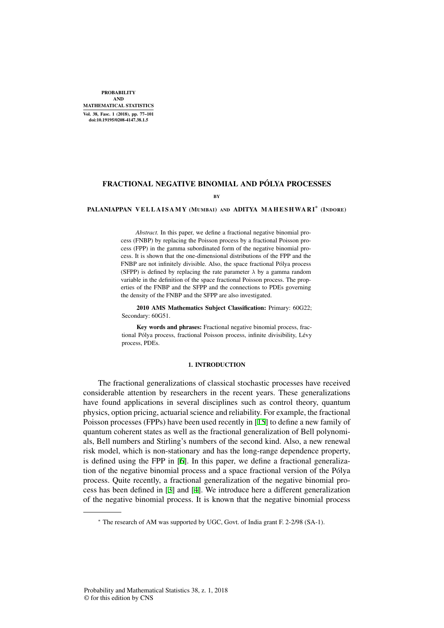PROBABILITY AND MATHEMATICAL STATISTICS Vol. 38, Fasc. 1 (2018), pp. 77–101 doi:10.19195/0208-4147.38.1.5

## FRACTIONAL NEGATIVE BINOMIAL AND PÓLYA PROCESSES

BY

# **PALANIAPPAN VELLAISAMY (MUMBAI) AND ADITYA MAHESHWARI\* (INDORE)**

*Abstract.* In this paper, we define a fractional negative binomial process (FNBP) by replacing the Poisson process by a fractional Poisson process (FPP) in the gamma subordinated form of the negative binomial process. It is shown that the one-dimensional distributions of the FPP and the FNBP are not infinitely divisible. Also, the space fractional Pólya process (SFPP) is defined by replacing the rate parameter  $\lambda$  by a gamma random variable in the definition of the space fractional Poisson process. The properties of the FNBP and the SFPP and the connections to PDEs governing the density of the FNBP and the SFPP are also investigated.

2010 AMS Mathematics Subject Classification: Primary: 60G22; Secondary: 60G51.

Key words and phrases: Fractional negative binomial process, fractional Pólya process, fractional Poisson process, infinite divisibility, Lévy process, PDEs.

### 1. INTRODUCTION

The fractional generalizations of classical stochastic processes have received considerable attention by researchers in the recent years. These generalizations have found applications in several disciplines such as control theory, quantum physics, option pricing, actuarial science and reliability. For example, the fractional Poisson processes (FPPs) have been used recently in [15] to define a new family of quantum coherent states as well as the fractional generalization of Bell polynomials, Bell numbers and Stirling's numbers of the second kind. Also, a new renewal risk model, which is non-stationary and has the long-range dependence property, is defined using the FPP in [6]. In this paper, we define a fractional generalization of the negative binomial process and a space fractional version of the Polya ´ process. Quite recently, a fractional generalization of the negative binomial process has been defined in [3] and [4]. We introduce here a different generalization of the negative binomial process. It is known that the negative binomial process

*<sup>∗</sup>* The research of AM was supported by UGC, Govt. of India grant F. 2-2/98 (SA-1).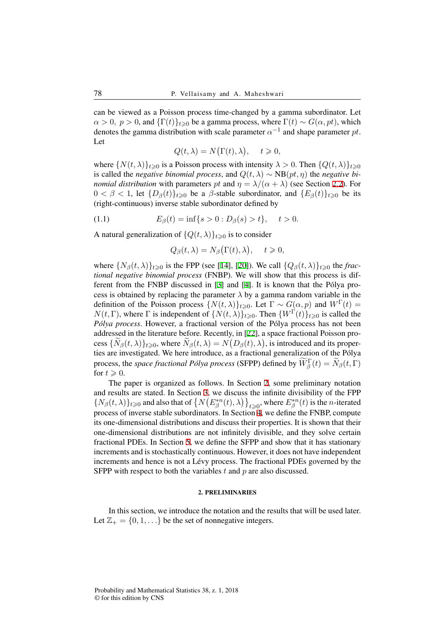can be viewed as a Poisson process time-changed by a gamma subordinator. Let  $\alpha > 0$ ,  $p > 0$ , and  $\{\Gamma(t)\}_{t\geq 0}$  be a gamma process, where  $\Gamma(t) \sim G(\alpha, pt)$ , which denotes the gamma distribution with scale parameter  $\alpha^{-1}$  and shape parameter  $pt$ . Let

$$
Q(t,\lambda) = N(\Gamma(t),\lambda), \quad t \geq 0,
$$

where  $\{N(t, \lambda)\}_{t \geq 0}$  is a Poisson process with intensity  $\lambda > 0$ . Then  $\{Q(t, \lambda)\}_{t \geq 0}$ is called the *negative binomial process*, and  $Q(t, \lambda) \sim NB(pt, \eta)$  the *negative binomial distribution* with parameters *pt* and  $\eta = \lambda/(\alpha + \lambda)$  (see Section 2.2). For  $0 < \beta < 1$ , let  $\{D_\beta(t)\}_{t>0}$  be a  $\beta$ -stable subordinator, and  $\{E_\beta(t)\}_{t>0}$  be its (right-continuous) inverse stable subordinator defined by

(1.1) 
$$
E_{\beta}(t) = \inf\{s > 0 : D_{\beta}(s) > t\}, \quad t > 0.
$$

A natural generalization of  $\{Q(t, \lambda)\}_{t \geq 0}$  is to consider

$$
Q_{\beta}(t,\lambda) = N_{\beta}(\Gamma(t),\lambda), \quad t \geqslant 0,
$$

where  $\{N_\beta(t, \lambda)\}_{t \geq 0}$  is the FPP (see [14], [20]). We call  $\{Q_\beta(t, \lambda)\}_{t \geq 0}$  the *fractional negative binomial process* (FNBP). We will show that this process is different from the FNBP discussed in [3] and [4]. It is known that the Pólya process is obtained by replacing the parameter  $\lambda$  by a gamma random variable in the definition of the Poisson process  $\{N(t,\lambda)\}_{t\geqslant0}$ . Let  $\Gamma \sim G(\alpha, p)$  and  $W^{\Gamma}(t) =$ *N*(*t*, Γ), where Γ is independent of  $\{N(t,\lambda)\}_{t\geq0}$ . Then  $\{W^{\Gamma}(t)\}_{t\geq0}$  is called the *Pólya process*. However, a fractional version of the Pólya process has not been addressed in the literature before. Recently, in [22], a space fractional Poisson process  $\{N_\beta(t,\lambda)\}_{t\geqslant 0}$ , where  $N_\beta(t,\lambda) = N(D_\beta(t),\lambda)$ , is introduced and its properties are investigated. We here introduce, as a fractional generalization of the Polya ´ process, the *space fractional Pólya process* (SFPP) defined by  $\widetilde{W}_{\beta}^{\Gamma}(t) = \widetilde{N}_{\beta}(t, \Gamma)$ for  $t \geqslant 0$ .

The paper is organized as follows. In Section 2, some preliminary notation and results are stated. In Section 3, we discuss the infinite divisibility of the FPP  $\{N_{\beta}(t,\lambda)\}_{t\geq 0}$  and also that of  $\{N(E^{*n}_{\beta}(t),\lambda)\}_{t\geq 0}$ , where  $E^{*n}_{\beta}(t)$  is the *n*-iterated process of inverse stable subordinators. In Section 4, we define the FNBP, compute its one-dimensional distributions and discuss their properties. It is shown that their one-dimensional distributions are not infinitely divisible, and they solve certain fractional PDEs. In Section 5, we define the SFPP and show that it has stationary increments and is stochastically continuous. However, it does not have independent increments and hence is not a Lévy process. The fractional PDEs governed by the SFPP with respect to both the variables *t* and *p* are also discussed.

#### 2. PRELIMINARIES

In this section, we introduce the notation and the results that will be used later. Let  $\mathbb{Z}_+ = \{0, 1, \ldots\}$  be the set of nonnegative integers.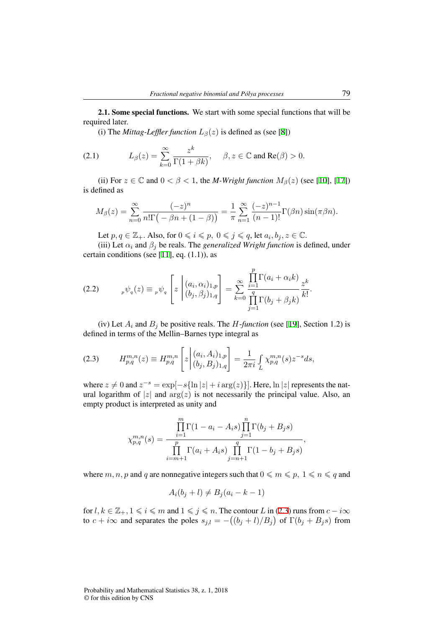2.1. Some special functions. We start with some special functions that will be required later.

(i) The *Mittag-Leffler function*  $L_\beta(z)$  is defined as (see [8])

(2.1) 
$$
L_{\beta}(z) = \sum_{k=0}^{\infty} \frac{z^k}{\Gamma(1+\beta k)}, \quad \beta, z \in \mathbb{C} \text{ and } \text{Re}(\beta) > 0.
$$

(ii) For  $z \in \mathbb{C}$  and  $0 < \beta < 1$ , the *M-Wright function*  $M_{\beta}(z)$  (see [10], [17]) is defined as

$$
M_{\beta}(z)=\sum_{n=0}^{\infty}\frac{(-z)^n}{n!\Gamma\left(-\beta n+(1-\beta)\right)}=\frac{1}{\pi}\sum_{n=1}^{\infty}\frac{(-z)^{n-1}}{(n-1)!}\Gamma(\beta n)\sin(\pi\beta n).
$$

Let  $p, q \in \mathbb{Z}_+$ . Also, for  $0 \leqslant i \leqslant p, 0 \leqslant j \leqslant q$ , let  $a_i, b_j, z \in \mathbb{C}$ .

(iii) Let  $\alpha_i$  and  $\beta_j$  be reals. The *generalized Wright function* is defined, under certain conditions (see [11], eq. (1.1)), as

 $\alpha$ 

$$
(2.2) \t p\psi_q(z) \equiv \psi_q \left[ z \left| \begin{array}{c} (a_i, \alpha_i)_{1,p} \\ (b_j, \beta_j)_{1,q} \end{array} \right| = \sum_{k=0}^{\infty} \frac{\prod_{i=1}^p \Gamma(a_i + \alpha_i k)}{\prod_{j=1}^q \Gamma(b_j + \beta_j k)} \frac{z^k}{k!}.
$$

(iv) Let  $A_i$  and  $B_j$  be positive reals. The *H*-*function* (see [19], Section 1.2) is defined in terms of the Mellin–Barnes type integral as

$$
(2.3) \tH_{p,q}^{m,n}(z) \equiv H_{p,q}^{m,n}\left[z\left| \begin{array}{c} (a_i, A_i)_{1,p} \\ (b_j, B_j)_{1,q} \end{array} \right| = \frac{1}{2\pi i} \int_{L} \chi_{p,q}^{m,n}(s) z^{-s} ds,
$$

where  $z \neq 0$  and  $z^{-s} = \exp[-s\{\ln |z| + i \arg(z)\}]$ . Here,  $\ln |z|$  represents the natural logarithm of  $|z|$  and  $\arg(z)$  is not necessarily the principal value. Also, an empty product is interpreted as unity and

$$
\chi_{p,q}^{m,n}(s) = \frac{\prod_{i=1}^{m} \Gamma(1 - a_i - A_i s) \prod_{j=1}^{n} \Gamma(b_j + B_j s)}{\prod_{i=m+1}^{p} \Gamma(a_i + A_i s) \prod_{j=n+1}^{q} \Gamma(1 - b_j + B_j s)},
$$

where  $m, n, p$  and  $q$  are nonnegative integers such that  $0 \le m \le p, 1 \le n \le q$  and

$$
A_i(b_j + l) \neq B_j(a_i - k - 1)
$$

for  $l, k \in \mathbb{Z}_+, 1 \le i \le m$  and  $1 \le j \le n$ . The contour *L* in (2.3) runs from  $c - i\infty$ to  $c + i\infty$  and separates the poles  $s_{j,l} = -((b_j + l)/B_j)$  of  $\Gamma(b_j + B_j s)$  from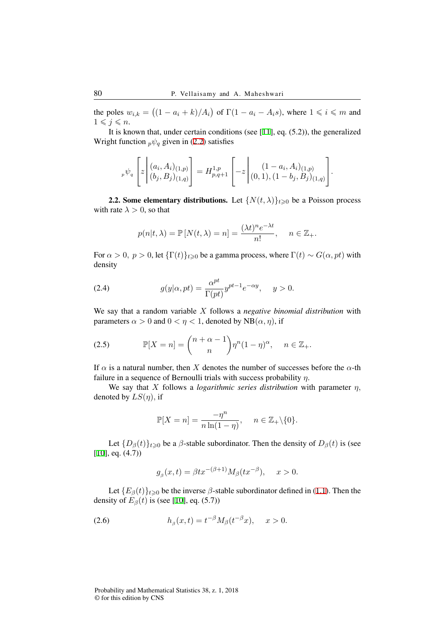the poles  $w_{i,k} = ((1 - a_i + k)/A_i)$  of  $\Gamma(1 - a_i - A_i s)$ , where  $1 \leq i \leq m$  and  $1 \leqslant j \leqslant n$ .

It is known that, under certain conditions (see [11], eq. (5.2)), the generalized Wright function  $p\psi_q$  given in (2.2) satisfies

$$
{}_{p}\psi_{q}\left[z\left| (a_{i}, A_{i})_{(1,p)} \atop (b_{j}, B_{j})_{(1,q)} \right] = H_{p,q+1}^{1,p} \left[-z\left| (1-a_{i}, A_{i})_{(1,p)} \atop (0,1), (1-b_{j}, B_{j})_{(1,q)} \right] \right].
$$

**2.2. Some elementary distributions.** Let  $\{N(t, \lambda)\}_{t \geq 0}$  be a Poisson process with rate  $\lambda > 0$ , so that

$$
p(n|t,\lambda) = \mathbb{P}[N(t,\lambda) = n] = \frac{(\lambda t)^n e^{-\lambda t}}{n!}, \quad n \in \mathbb{Z}_+.
$$

For  $\alpha > 0$ ,  $p > 0$ , let  $\{\Gamma(t)\}_{t \geq 0}$  be a gamma process, where  $\Gamma(t) \sim G(\alpha, pt)$  with density

(2.4) 
$$
g(y|\alpha, pt) = \frac{\alpha^{pt}}{\Gamma(pt)} y^{pt-1} e^{-\alpha y}, \quad y > 0.
$$

We say that a random variable *X* follows a *negative binomial distribution* with parameters  $\alpha > 0$  and  $0 < \eta < 1$ , denoted by NB( $\alpha, \eta$ ), if

(2.5) 
$$
\mathbb{P}[X=n] = \binom{n+\alpha-1}{n} \eta^n (1-\eta)^\alpha, \quad n \in \mathbb{Z}_+.
$$

If  $\alpha$  is a natural number, then *X* denotes the number of successes before the  $\alpha$ -th failure in a sequence of Bernoulli trials with success probability *η*.

We say that *X* follows a *logarithmic series distribution* with parameter *η,* denoted by *LS*(*η*)*,* if

$$
\mathbb{P}[X=n] = \frac{-\eta^n}{n\ln(1-\eta)}, \quad n \in \mathbb{Z}_+ \backslash \{0\}.
$$

Let  ${D_\beta(t)}_{t\geq0}$  be a  $\beta$ -stable subordinator. Then the density of  $D_\beta(t)$  is (see  $[10]$ , eq.  $(4.7)$ 

$$
g_{\beta}(x,t) = \beta t x^{-(\beta+1)} M_{\beta}(t x^{-\beta}), \quad x > 0.
$$

Let  ${E_\beta(t)}_{t\geq0}$  be the inverse  $\beta$ -stable subordinator defined in (1.1). Then the density of  $E_\beta(t)$  is (see [10], eq. (5.7))

(2.6) 
$$
h_{\beta}(x,t) = t^{-\beta} M_{\beta}(t^{-\beta}x), \quad x > 0.
$$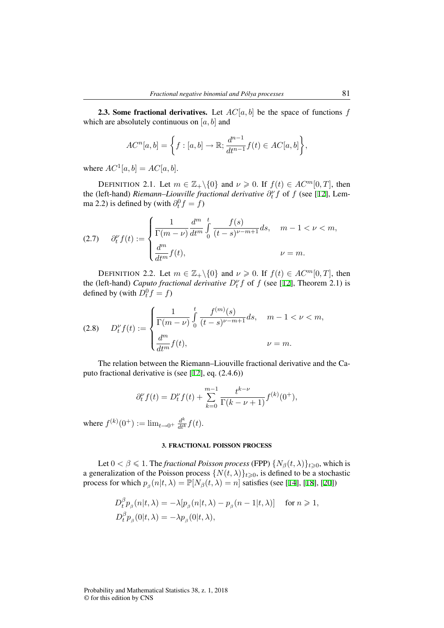**2.3. Some fractional derivatives.** Let  $AC[a, b]$  be the space of functions  $f$ which are absolutely continuous on [*a, b*] and

$$
AC^{n}[a,b] = \left\{ f : [a,b] \to \mathbb{R}; \frac{d^{n-1}}{dt^{n-1}} f(t) \in AC[a,b] \right\},\
$$

where  $AC^1[a, b] = AC[a, b]$ .

DEFINITION 2.1. Let  $m \in \mathbb{Z}_+ \setminus \{0\}$  and  $\nu \ge 0$ . If  $f(t) \in AC^m[0, T]$ , then the (left-hand) *Riemann–Liouville fractional derivative*  $\partial_t^{\nu} f$  of f (see [12], Lemma 2.2) is defined by (with  $\partial_t^0 f = f$ )

(2.7) 
$$
\partial_t^{\nu} f(t) := \begin{cases} \frac{1}{\Gamma(m-\nu)} \frac{d^m}{dt^m} \int_0^t \frac{f(s)}{(t-s)^{\nu-m+1}} ds, & m-1 < \nu < m, \\ \frac{d^m}{dt^m} f(t), & \nu = m. \end{cases}
$$

DEFINITION 2.2. Let  $m \in \mathbb{Z}_+ \backslash \{0\}$  and  $\nu \ge 0$ . If  $f(t) \in AC^m[0, T]$ , then the (left-hand) *Caputo fractional derivative*  $D_t^{\nu} f$  of f (see [12], Theorem 2.1) is defined by (with  $D_t^0 f = f$ )

(2.8) 
$$
D_t^{\nu} f(t) := \begin{cases} \frac{1}{\Gamma(m-\nu)} \int_0^t \frac{f^{(m)}(s)}{(t-s)^{\nu-m+1}} ds, & m-1 < \nu < m, \\ \frac{d^m}{dt^m} f(t), & \nu = m. \end{cases}
$$

The relation between the Riemann–Liouville fractional derivative and the Caputo fractional derivative is (see [12], eq. (2.4.6))

$$
\partial_t^{\nu} f(t) = D_t^{\nu} f(t) + \sum_{k=0}^{m-1} \frac{t^{k-\nu}}{\Gamma(k-\nu+1)} f^{(k)}(0^+),
$$

where  $f^{(k)}(0^+) := \lim_{t \to 0^+} \frac{d^k}{dt^k} f(t)$ .

#### 3. FRACTIONAL POISSON PROCESS

Let  $0 < \beta \le 1$ . The *fractional Poisson process* (FPP)  $\{N_\beta(t, \lambda)\}_{t \ge 0}$ , which is a generalization of the Poisson process  $\{N(t, \lambda)\}_{t \geq 0}$ , is defined to be a stochastic process for which  $p_{\beta}(n|t,\lambda) = \mathbb{P}[N_{\beta}(t,\lambda) = n]$  satisfies (see [14], [18], [20])

$$
D_t^{\beta} p_{\beta}(n|t,\lambda) = -\lambda [p_{\beta}(n|t,\lambda) - p_{\beta}(n-1|t,\lambda)] \quad \text{ for } n \geq 1,
$$
  

$$
D_t^{\beta} p_{\beta}(0|t,\lambda) = -\lambda p_{\beta}(0|t,\lambda),
$$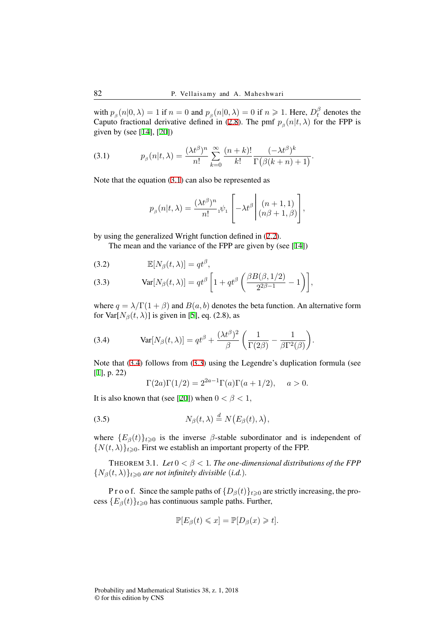with  $p_{\beta}(n|0,\lambda) = 1$  if  $n = 0$  and  $p_{\beta}(n|0,\lambda) = 0$  if  $n \geq 1$ . Here,  $D_t^{\beta}$  $t<sub>t</sub><sup>p</sup>$  denotes the Caputo fractional derivative defined in (2.8). The pmf  $p_\beta(n|t,\lambda)$  for the FPP is given by (see [14], [20])

(3.1) 
$$
p_{\beta}(n|t,\lambda) = \frac{(\lambda t^{\beta})^n}{n!} \sum_{k=0}^{\infty} \frac{(n+k)!}{k!} \frac{(-\lambda t^{\beta})^k}{\Gamma(\beta(k+n)+1)}.
$$

Note that the equation (3.1) can also be represented as

$$
p_{\beta}(n|t,\lambda) = \frac{(\lambda t^{\beta})^n}{n!} \psi_1 \left[ -\lambda t^{\beta} \middle| \begin{array}{c} (n+1,1) \\ (n\beta+1,\beta) \end{array} \right],
$$

by using the generalized Wright function defined in (2.2).

The mean and the variance of the FPP are given by (see [14])

(3.2) 
$$
\mathbb{E}[N_{\beta}(t,\lambda)] = qt^{\beta},
$$

(3.3) 
$$
\text{Var}[N_{\beta}(t,\lambda)] = qt^{\beta} \left[ 1 + qt^{\beta} \left( \frac{\beta B(\beta,1/2)}{2^{2\beta-1}} - 1 \right) \right],
$$

where  $q = \lambda/\Gamma(1 + \beta)$  and  $B(a, b)$  denotes the beta function. An alternative form for Var $[N_\beta(t,\lambda)]$  is given in [5], eq. (2.8), as

(3.4) 
$$
Var[N_{\beta}(t,\lambda)] = qt^{\beta} + \frac{(\lambda t^{\beta})^2}{\beta} \left(\frac{1}{\Gamma(2\beta)} - \frac{1}{\beta \Gamma^2(\beta)}\right).
$$

Note that (3.4) follows from (3.3) using the Legendre's duplication formula (see [1], p. 22)

$$
\Gamma(2a)\Gamma(1/2) = 2^{2a-1}\Gamma(a)\Gamma(a+1/2), \quad a > 0.
$$

It is also known that (see [20]) when  $0 < \beta < 1$ ,

(3.5) 
$$
N_{\beta}(t,\lambda) \stackrel{d}{=} N(E_{\beta}(t),\lambda),
$$

where  ${E_{\beta}(t)}_{t\geq0}$  is the inverse  $\beta$ -stable subordinator and is independent of  ${N(t, \lambda)}_{t \geq 0}$ . First we establish an important property of the FPP.

THEOREM 3.1. *Let*  $0 < \beta < 1$ . *The one-dimensional distributions of the FPP*  ${N_\beta(t, \lambda)}_{t \geq 0}$  *are not infinitely divisible (i.d.).* 

P r o o f. Since the sample paths of  $\{D_\beta(t)\}_{t\geq0}$  are strictly increasing, the process  ${E_{\beta}(t)}_{t\geq0}$  has continuous sample paths. Further,

$$
\mathbb{P}[E_{\beta}(t) \leq x] = \mathbb{P}[D_{\beta}(x) \geq t].
$$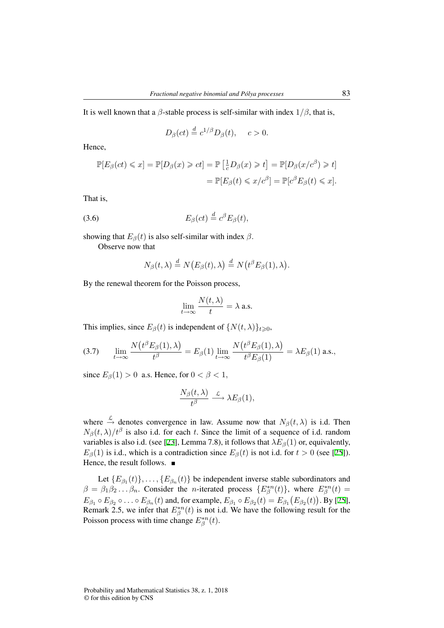It is well known that a *β*-stable process is self-similar with index  $1/\beta$ , that is,

$$
D_{\beta}(ct) \stackrel{d}{=} c^{1/\beta} D_{\beta}(t), \quad c > 0.
$$

Hence,

$$
\mathbb{P}[E_{\beta}(ct) \leq x] = \mathbb{P}[D_{\beta}(x) \geq ct] = \mathbb{P}\left[\frac{1}{c}D_{\beta}(x) \geq t\right] = \mathbb{P}[D_{\beta}(x/c^{\beta}) \geq t]
$$

$$
= \mathbb{P}[E_{\beta}(t) \leq x/c^{\beta}] = \mathbb{P}[c^{\beta}E_{\beta}(t) \leq x].
$$

That is,

$$
(3.6) \t\t\t E_{\beta}(ct) \stackrel{d}{=} c^{\beta} E_{\beta}(t),
$$

showing that  $E_\beta(t)$  is also self-similar with index  $\beta$ .

Observe now that

$$
N_{\beta}(t,\lambda) \stackrel{d}{=} N(E_{\beta}(t),\lambda) \stackrel{d}{=} N(t^{\beta}E_{\beta}(1),\lambda).
$$

By the renewal theorem for the Poisson process,

$$
\lim_{t \to \infty} \frac{N(t, \lambda)}{t} = \lambda \text{ a.s.}
$$

This implies, since  $E_\beta(t)$  is independent of  $\{N(t,\lambda)\}_{t\geqslant0}$ ,

(3.7) 
$$
\lim_{t \to \infty} \frac{N(t^{\beta} E_{\beta}(1), \lambda)}{t^{\beta}} = E_{\beta}(1) \lim_{t \to \infty} \frac{N(t^{\beta} E_{\beta}(1), \lambda)}{t^{\beta} E_{\beta}(1)} = \lambda E_{\beta}(1) \text{ a.s.},
$$

since  $E_\beta(1) > 0$  a.s. Hence, for  $0 < \beta < 1$ ,

$$
\frac{N_{\beta}(t,\lambda)}{t^{\beta}}\stackrel{\mathcal{L}}{\longrightarrow}\lambda E_{\beta}(1),
$$

where  $\stackrel{\mathcal{L}}{\rightarrow}$  denotes convergence in law. Assume now that  $N_{\beta}(t,\lambda)$  is i.d. Then  $N_\beta(t, \lambda)/t^\beta$  is also i.d. for each *t*. Since the limit of a sequence of i.d. random variables is also i.d. (see [23], Lemma 7.8), it follows that  $\lambda E_\beta(1)$  or, equivalently,  $E_{\beta}(1)$  is i.d., which is a contradiction since  $E_{\beta}(t)$  is not i.d. for  $t > 0$  (see [25]). Hence, the result follows. ■

Let  ${E_{\beta_1}(t)}$ , ...,  ${E_{\beta_n}(t)}$  be independent inverse stable subordinators and  $\beta = \beta_1 \beta_2 \dots \beta_n$ . Consider the *n*-iterated process  $\{E^{*n}_{\beta}(t)\}\$ , where  $E^{*n}_{\beta}(t) =$  $E_{\beta_1} \circ E_{\beta_2} \circ \ldots \circ E_{\beta_n}(t)$  and, for example,  $E_{\beta_1} \circ E_{\beta_2}(t) = E_{\beta_1}(E_{\beta_2}(t))$ . By [25], Remark 2.5, we infer that  $E_{\beta}^{*n}(t)$  is not i.d. We have the following result for the Poisson process with time change  $E^{*n}_{\beta}(t)$ .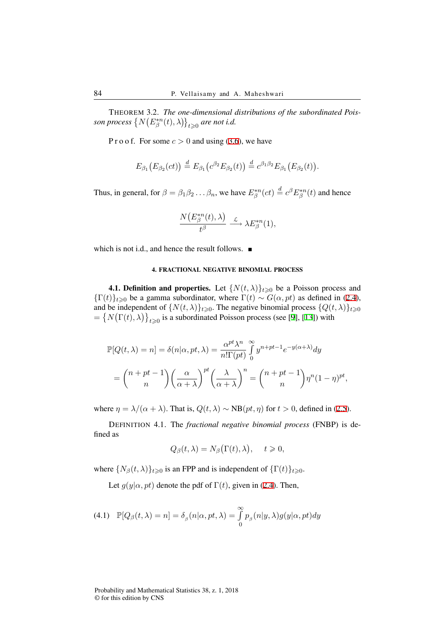THEOREM 3.2. *The one-dimensional distributions of the subordinated Pois-* $\big\{ N\big(E^{*n}_\beta(t),\lambda\big)\big\}_{t\geqslant 0}$  are not i.d.

P r o o f. For some  $c > 0$  and using (3.6), we have

$$
E_{\beta_1}\big(E_{\beta_2}(ct)\big) \stackrel{d}{=} E_{\beta_1}\big(c^{\beta_2}E_{\beta_2}(t)\big) \stackrel{d}{=} c^{\beta_1\beta_2}E_{\beta_1}\big(E_{\beta_2}(t)\big).
$$

Thus, in general, for  $\beta = \beta_1 \beta_2 \dots \beta_n$ , we have  $E^{*n}_{\beta}(ct) \stackrel{d}{=} c^{\beta} E^{*n}_{\beta}(t)$  and hence

$$
\frac{N(E^{*n}_{\beta}(t),\lambda)}{t^{\beta}}\stackrel{\mathcal{L}}{\longrightarrow}\lambda E^{*n}_{\beta}(1),
$$

which is not i.d., and hence the result follows.  $\blacksquare$ 

### 4. FRACTIONAL NEGATIVE BINOMIAL PROCESS

**4.1. Definition and properties.** Let  $\{N(t, \lambda)\}_{t \geq 0}$  be a Poisson process and  ${\{\Gamma(t)\}}_{t\geq0}$  be a gamma subordinator, where  $\Gamma(t) \sim G(\alpha, pt)$  as defined in (2.4), and be independent of  $\{N(t, \lambda)\}_{t \geq 0}$ . The negative binomial process  $\{Q(t, \lambda)\}_{t \geq 0}$  $=\left\{N\big(\Gamma(t),\lambda\big)\right\}_{t\geqslant 0}$  is a subordinated Poisson process (see [9], [13]) with

$$
\mathbb{P}[Q(t,\lambda) = n] = \delta(n|\alpha, pt, \lambda) = \frac{\alpha^{pt} \lambda^n}{n!\Gamma(pt)} \int_0^\infty y^{n+pt-1} e^{-y(\alpha+\lambda)} dy
$$

$$
= {n+pt-1 \choose n} \left(\frac{\alpha}{\alpha+\lambda}\right)^{pt} \left(\frac{\lambda}{\alpha+\lambda}\right)^n = {n+pt-1 \choose n} \eta^n (1-\eta)^{pt},
$$

where  $\eta = \lambda/(\alpha + \lambda)$ . That is,  $Q(t, \lambda) \sim NB(pt, \eta)$  for  $t > 0$ , defined in (2.5).

DEFINITION 4.1. The *fractional negative binomial process* (FNBP) is defined as

$$
Q_{\beta}(t,\lambda) = N_{\beta}(\Gamma(t),\lambda), \quad t \geqslant 0,
$$

where  $\{N_\beta(t,\lambda)\}_{t\geq 0}$  is an FPP and is independent of  $\{\Gamma(t)\}_{t\geq 0}$ .

Let  $g(y|\alpha, pt)$  denote the pdf of  $\Gamma(t)$ , given in (2.4). Then,

(4.1) 
$$
\mathbb{P}[Q_{\beta}(t,\lambda)=n]=\delta_{\beta}(n|\alpha,pt,\lambda)=\int_{0}^{\infty}p_{\beta}(n|y,\lambda)g(y|\alpha,pt)dy
$$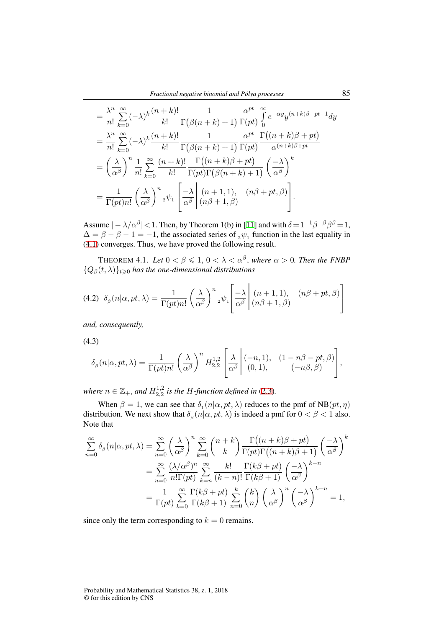$$
= \frac{\lambda^n}{n!} \sum_{k=0}^{\infty} (-\lambda)^k \frac{(n+k)!}{k!} \frac{1}{\Gamma(\beta(n+k)+1)} \frac{\alpha^{pt}}{\Gamma(pt)} \int_0^{\infty} e^{-\alpha y} y^{(n+k)\beta+pt-1} dy
$$
  
\n
$$
= \frac{\lambda^n}{n!} \sum_{k=0}^{\infty} (-\lambda)^k \frac{(n+k)!}{k!} \frac{1}{\Gamma(\beta(n+k)+1)} \frac{\alpha^{pt}}{\Gamma(pt)} \frac{\Gamma((n+k)\beta+pt)}{\alpha^{(n+k)\beta+pt}}
$$
  
\n
$$
= \left(\frac{\lambda}{\alpha^{\beta}}\right)^n \frac{1}{n!} \sum_{k=0}^{\infty} \frac{(n+k)!}{k!} \frac{\Gamma((n+k)\beta+pt)}{\Gamma(pt)\Gamma(\beta(n+k)+1)} \left(\frac{-\lambda}{\alpha^{\beta}}\right)^k
$$
  
\n
$$
= \frac{1}{\Gamma(pt)n!} \left(\frac{\lambda}{\alpha^{\beta}}\right)^n {}_2\psi_1 \left[\frac{-\lambda}{\alpha^{\beta}} \middle| (n\beta+1, \beta) \right].
$$

Assume  $|-\lambda/\alpha^{\beta}|$  < 1. Then, by Theorem 1(b) in [11] and with  $\delta = 1^{-1}\beta^{-\beta}\beta^{\beta} = 1$ ,  $\Delta = \beta - \beta - 1 = -1$ , the associated series of  $\delta_2 \psi_1$  function in the last equality in (4.1) converges. Thus, we have proved the following result.

**THEOREM 4.1.** Let  $0 < \beta \leqslant 1, 0 < \lambda < \alpha^{\beta}$ , where  $\alpha > 0$ . Then the FNBP  ${Q}_{\beta}(t, \lambda)$ <sub> $t \geq 0$ </sub> *has the one-dimensional distributions* 

$$
(4.2) \delta_{\beta}(n|\alpha, pt, \lambda) = \frac{1}{\Gamma(pt)n!} \left(\frac{\lambda}{\alpha^{\beta}}\right)^{n} {}_{2}\psi_{1}\left[\frac{-\lambda}{\alpha^{\beta}} \middle| \begin{array}{c} (n+1,1), (n\beta + pt, \beta) \\ (n\beta + 1, \beta) \end{array}\right]
$$

*and, consequently,*

(4.3)

$$
\delta_{\beta}(n|\alpha, pt, \lambda) = \frac{1}{\Gamma(pt)n!} \left(\frac{\lambda}{\alpha^{\beta}}\right)^n H_{2,2}^{1,2} \left[\frac{\lambda}{\alpha^{\beta}} \middle| \begin{array}{cc} (-n,1), & (1-n\beta - pt, \beta) \\ (0,1), & (-n\beta, \beta) \end{array} \right],
$$

*where*  $n \in \mathbb{Z}_+$ , and  $H_{2,2}^{1,2}$  $^{1,2}_{2,2}$  *is the H-function defined in* (2.3).

When  $\beta = 1$ , we can see that  $\delta_1(n|\alpha, pt, \lambda)$  reduces to the pmf of  $NB(pt, \eta)$ distribution. We next show that  $\delta_{\beta}(n|\alpha, pt, \lambda)$  is indeed a pmf for  $0 < \beta < 1$  also. Note that

$$
\sum_{n=0}^{\infty} \delta_{\beta}(n|\alpha, pt, \lambda) = \sum_{n=0}^{\infty} \left(\frac{\lambda}{\alpha^{\beta}}\right)^{n} \sum_{k=0}^{\infty} {n+k \choose k} \frac{\Gamma((n+k)\beta + pt)}{\Gamma(pt)\Gamma((n+k)\beta + 1)} \left(\frac{-\lambda}{\alpha^{\beta}}\right)^{k}
$$

$$
= \sum_{n=0}^{\infty} \frac{(\lambda/\alpha^{\beta})^{n}}{n!\Gamma(pt)} \sum_{k=n}^{\infty} \frac{k!}{(k-n)!} \frac{\Gamma(k\beta + pt)}{\Gamma(k\beta + 1)} \left(\frac{-\lambda}{\alpha^{\beta}}\right)^{k-n}
$$

$$
= \frac{1}{\Gamma(pt)} \sum_{k=0}^{\infty} \frac{\Gamma(k\beta + pt)}{\Gamma(k\beta + 1)} \sum_{n=0}^{k} {k \choose n} \left(\frac{\lambda}{\alpha^{\beta}}\right)^{n} \left(\frac{-\lambda}{\alpha^{\beta}}\right)^{k-n} = 1,
$$

since only the term corresponding to  $k = 0$  remains.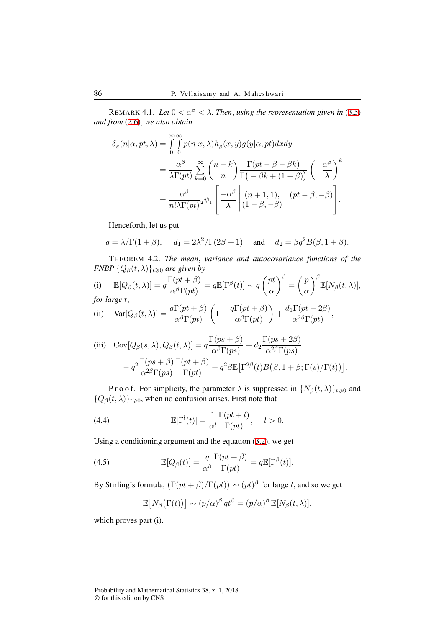REMARK 4.1. *Let*  $0 < \alpha^{\beta} < \lambda$ . *Then, using the representation given in* (3.5) *and from* (2.6)*, we also obtain*

$$
\delta_{\beta}(n|\alpha, pt, \lambda) = \int_{0}^{\infty} \int_{0}^{\infty} p(n|x, \lambda) h_{\beta}(x, y) g(y|\alpha, pt) dx dy
$$
  
= 
$$
\frac{\alpha^{\beta}}{\lambda \Gamma(pt)} \sum_{k=0}^{\infty} {n+k \choose n} \frac{\Gamma(pt - \beta - \beta k)}{\Gamma(-\beta k + (1 - \beta))} \left(-\frac{\alpha^{\beta}}{\lambda}\right)^{k}
$$
  
= 
$$
\frac{\alpha^{\beta}}{n! \lambda \Gamma(pt)^{2}} \psi_{1} \left[\frac{-\alpha^{\beta}}{\lambda} \middle| (n+1, 1), (pt - \beta, -\beta) \right].
$$

Henceforth, let us put

$$
q = \lambda/\Gamma(1+\beta)
$$
,  $d_1 = 2\lambda^2/\Gamma(2\beta+1)$  and  $d_2 = \beta q^2 B(\beta, 1+\beta)$ .

THEOREM 4.2. *The mean, variance and autocovariance functions of the FNBP*  $\{Q_\beta(t,\lambda)\}_{t\geqslant0}$  *are given by* 

(i) 
$$
\mathbb{E}[Q_{\beta}(t,\lambda)] = q \frac{\Gamma(pt + \beta)}{\alpha^{\beta} \Gamma(pt)} = q \mathbb{E}[\Gamma^{\beta}(t)] \sim q \left(\frac{pt}{\alpha}\right)^{\beta} = \left(\frac{p}{\alpha}\right)^{\beta} \mathbb{E}[N_{\beta}(t,\lambda)],
$$
  
for large  $t$ ,

(ii) 
$$
Var[Q_{\beta}(t,\lambda)] = \frac{q\Gamma(pt+\beta)}{\alpha^{\beta}\Gamma(pt)} \left(1 - \frac{q\Gamma(pt+\beta)}{\alpha^{\beta}\Gamma(pt)}\right) + \frac{d_1\Gamma(pt+2\beta)}{\alpha^{2\beta}\Gamma(pt)},
$$

(iii) 
$$
Cov[Q_{\beta}(s,\lambda), Q_{\beta}(t,\lambda)] = q \frac{\Gamma(ps + \beta)}{\alpha^{\beta} \Gamma(ps)} + d_2 \frac{\Gamma(ps + 2\beta)}{\alpha^{2\beta} \Gamma(ps)} - q^2 \frac{\Gamma(ps + \beta)}{\alpha^{2\beta} \Gamma(ps)} \frac{\Gamma(pt + \beta)}{\Gamma(pt)} + q^2 \beta \mathbb{E} [\Gamma^{2\beta}(t) B(\beta, 1 + \beta; \Gamma(s)/\Gamma(t))].
$$

P r o o f. For simplicity, the parameter  $\lambda$  is suppressed in  $\{N_\beta(t,\lambda)\}_{t\geq0}$  and  ${Q}_{\beta}(t,\lambda)$ <sub> $t\geq0$ </sub>, when no confusion arises. First note that

(4.4) 
$$
\mathbb{E}[\Gamma^l(t)] = \frac{1}{\alpha^l} \frac{\Gamma(pt + l)}{\Gamma(pt)}, \quad l > 0.
$$

Using a conditioning argument and the equation (3.2), we get

(4.5) 
$$
\mathbb{E}[Q_{\beta}(t)] = \frac{q}{\alpha^{\beta}} \frac{\Gamma(pt + \beta)}{\Gamma(pt)} = q \mathbb{E}[\Gamma^{\beta}(t)].
$$

By Stirling's formula,  $(\Gamma(pt + \beta)/\Gamma(pt)) \sim (pt)^{\beta}$  for large *t*, and so we get

$$
\mathbb{E}\big[N_{\beta}\big(\Gamma(t)\big)\big] \sim (p/\alpha)^{\beta} \, qt^{\beta} = (p/\alpha)^{\beta} \, \mathbb{E}[N_{\beta}(t,\lambda)],
$$

which proves part (i).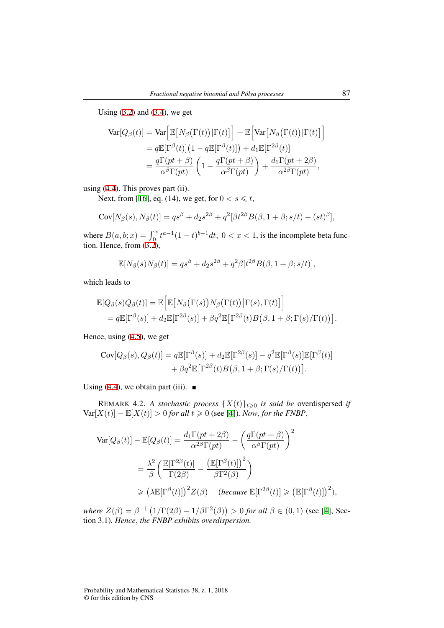Using  $(3.2)$  and  $(3.4)$ , we get

$$
\begin{split} \text{Var}[Q_{\beta}(t)] &= \text{Var}\Big[\mathbb{E}\big[N_{\beta}\big(\Gamma(t)\big)|\Gamma(t)\big]\Big] + \mathbb{E}\Big[\text{Var}\big[N_{\beta}\big(\Gamma(t)\big)|\Gamma(t)\big]\Big] \\ &= q\mathbb{E}[\Gamma^{\beta}(t)]\big(1 - q\mathbb{E}[\Gamma^{\beta}(t)]\big) + d_1\mathbb{E}[\Gamma^{2\beta}(t)] \\ &= \frac{q\Gamma(pt + \beta)}{\alpha^{\beta}\Gamma(pt)}\left(1 - \frac{q\Gamma(pt + \beta)}{\alpha^{\beta}\Gamma(pt)}\right) + \frac{d_1\Gamma(pt + 2\beta)}{\alpha^{2\beta}\Gamma(pt)}, \end{split}
$$

using (4.4). This proves part (ii).

Next, from [16], eq. (14), we get, for  $0 < s \le t$ ,

$$
Cov[N_{\beta}(s), N_{\beta}(t)] = qs^{\beta} + d_2s^{2\beta} + q^2[\beta t^{2\beta}B(\beta, 1+\beta; s/t) - (st)^{\beta}],
$$

where  $B(a, b; x) = \int_0^x t^{a-1}(1-t)^{b-1}dt$ ,  $0 < x < 1$ , is the incomplete beta function. Hence, from (3.2),

$$
\mathbb{E}[N_{\beta}(s)N_{\beta}(t)] = qs^{\beta} + d_2s^{2\beta} + q^2\beta[t^{2\beta}B(\beta, 1+\beta; s/t)],
$$

which leads to

$$
\mathbb{E}[Q_{\beta}(s)Q_{\beta}(t)] = \mathbb{E}\Big[\mathbb{E}\big[N_{\beta}(\Gamma(s))N_{\beta}(\Gamma(t))\big|\Gamma(s),\Gamma(t)\big]\Big] \n= q\mathbb{E}[\Gamma^{\beta}(s)] + d_2\mathbb{E}[\Gamma^{2\beta}(s)] + \beta q^2\mathbb{E}\big[\Gamma^{2\beta}(t)B(\beta,1+\beta;\Gamma(s)/\Gamma(t))\big].
$$

Hence, using (4.5), we get

$$
Cov[Q_{\beta}(s), Q_{\beta}(t)] = q \mathbb{E}[\Gamma^{\beta}(s)] + d_2 \mathbb{E}[\Gamma^{2\beta}(s)] - q^2 \mathbb{E}[\Gamma^{\beta}(s)] \mathbb{E}[\Gamma^{\beta}(t)] + \beta q^2 \mathbb{E}[\Gamma^{2\beta}(t)B(\beta, 1+\beta; \Gamma(s)/\Gamma(t))].
$$

Using (4.4), we obtain part (iii).  $\blacksquare$ 

REMARK 4.2. *A stochastic process*  $\{X(t)\}_{t\geq0}$  *is said be* overdispersed *if*  $Var[X(t)] - E[X(t)] > 0$  *for all*  $t \ge 0$  (see [4])*. Now, for the FNBP,* 

$$
\begin{split} \text{Var}[Q_{\beta}(t)] - \mathbb{E}[Q_{\beta}(t)] &= \frac{d_1 \Gamma(pt + 2\beta)}{\alpha^{2\beta} \Gamma(pt)} - \left(\frac{q \Gamma(pt + \beta)}{\alpha^{\beta} \Gamma(pt)}\right)^2 \\ &= \frac{\lambda^2}{\beta} \left(\frac{\mathbb{E}[\Gamma^{2\beta}(t)]}{\Gamma(2\beta)} - \frac{\left(\mathbb{E}[\Gamma^{\beta}(t)]\right)^2}{\beta \Gamma^2(\beta)}\right) \\ &\geq \left(\lambda \mathbb{E}[\Gamma^{\beta}(t)]\right)^2 Z(\beta) \quad \text{(because } \mathbb{E}[\Gamma^{2\beta}(t)] \geq \left(\mathbb{E}[\Gamma^{\beta}(t)]\right)^2), \end{split}
$$

*where*  $Z(β) = β^{-1} (1/Γ(2β) – 1/βΓ<sup>2</sup>(β)) > 0$  *for all*  $β ∈ (0,1)$  (see [4], Section 3.1)*. Hence, the FNBP exhibits overdispersion.*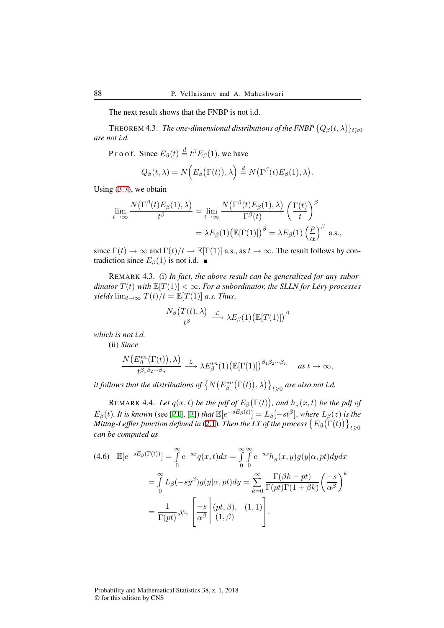The next result shows that the FNBP is not i.d.

**THEOREM 4.3.** *The one-dimensional distributions of the FNBP*  $\{Q_\beta(t,\lambda)\}_{t\geq0}$ *are not i.d.*

P r o o f. Since  $E_\beta(t) \stackrel{d}{=} t^\beta E_\beta(1)$ , we have

$$
Q_{\beta}(t,\lambda)=N(E_{\beta}(\Gamma(t)),\lambda)\stackrel{d}{=}N(\Gamma^{\beta}(t)E_{\beta}(1),\lambda).
$$

Using (3.7), we obtain

$$
\lim_{t \to \infty} \frac{N(\Gamma^{\beta}(t)E_{\beta}(1), \lambda)}{t^{\beta}} = \lim_{t \to \infty} \frac{N(\Gamma^{\beta}(t)E_{\beta}(1), \lambda)}{\Gamma^{\beta}(t)} \left(\frac{\Gamma(t)}{t}\right)^{\beta}
$$

$$
= \lambda E_{\beta}(1) \big(\mathbb{E}[\Gamma(1)]\big)^{\beta} = \lambda E_{\beta}(1) \left(\frac{p}{\alpha}\right)^{\beta} \text{ a.s.},
$$

since  $\Gamma(t) \to \infty$  and  $\Gamma(t)/t \to \mathbb{E}[\Gamma(1)]$  a.s., as  $t \to \infty$ . The result follows by contradiction since  $E_\beta(1)$  is not i.d. ■

REMARK 4.3. (i) *In fact, the above result can be generalized for any subordinator*  $T(t)$  *with*  $\mathbb{E}[T(1)] < \infty$ *. For a subordinator, the SLLN for Lévy processes yields*  $\lim_{t\to\infty} T(t)/t = \mathbb{E}[T(1)]$  *a.s. Thus,* 

$$
\frac{N_{\beta}\big(T(t),\lambda\big)}{t^{\beta}}\stackrel{\mathcal{L}}{\longrightarrow}\lambda E_{\beta}(1)\big(\mathbb{E}[T(1)]\big)^{\beta}
$$

*which is not i.d.*

(ii) *Since*

$$
\frac{N(E^{*n}_{\beta}(\Gamma(t)),\lambda)}{t^{\beta_1\beta_2\cdots\beta_n}}\xrightarrow{\mathcal{L}}\lambda E^{*n}_{\beta}(1)\big(\mathbb{E}[\Gamma(1)]\big)^{\beta_1\beta_2\cdots\beta_n}\quad as\ t\to\infty,
$$

*it follows that the distributions of*  $\left\{ N\big(E^{*n}_\beta\big(\Gamma(t)\big),\lambda\big)\right\}_{t\geqslant0}$  are also not i.d.

REMARK 4.4. *Let*  $q(x, t)$  *be the pdf of*  $E_\beta(\Gamma(t))$ , and  $h_\beta(x, t)$  *be the pdf of*  $E_{\beta}(t)$ . It is known (see [21], [7]) that  $\mathbb{E}[e^{-sE_{\beta}(t)}] = L_{\beta}[-st^{\beta}],$  where  $L_{\beta}(z)$  is the Mittag-Leffler function defined in (2.1). Then the LT of the process  $\big\{E_\beta\big(\Gamma(t)\big)\big\}_{t\geqslant 0}$ *can be computed as*

$$
(4.6) \quad \mathbb{E}[e^{-sE_{\beta}(\Gamma(t))}] = \int_{0}^{\infty} e^{-sx} q(x,t) dx = \int_{0}^{\infty} \int_{0}^{\infty} e^{-sx} h_{\beta}(x,y) g(y|\alpha, pt) dy dx
$$

$$
= \int_{0}^{\infty} L_{\beta}(-sy^{\beta}) g(y|\alpha, pt) dy = \sum_{k=0}^{\infty} \frac{\Gamma(\beta k + pt)}{\Gamma(pt)\Gamma(1 + \beta k)} \left(\frac{-s}{\alpha^{\beta}}\right)^{k}
$$

$$
= \frac{1}{\Gamma(pt)} {}_{2} \psi_{1} \left[ \frac{-s}{\alpha^{\beta}} \middle| (pt, \beta), (1,1) \right].
$$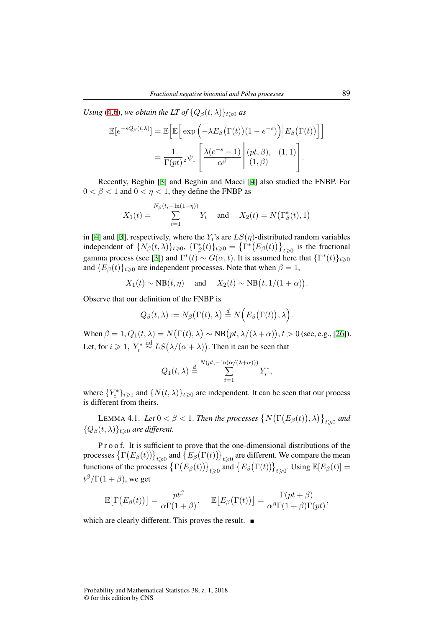*Using* (4.6)*, we obtain the LT of*  $\{Q_\beta(t,\lambda)\}_{t\geq0}$  *as* 

$$
\mathbb{E}[e^{-sQ_{\beta}(t,\lambda)}] = \mathbb{E}\bigg[\mathbb{E}\bigg[\exp\left(-\lambda E_{\beta}(\Gamma(t))(1-e^{-s})\right)\bigg|E_{\beta}(\Gamma(t))\bigg]\bigg]
$$

$$
= \frac{1}{\Gamma(pt)^2} \psi_1\left[\frac{\lambda(e^{-s}-1)}{\alpha^{\beta}}\bigg|^{(pt,\beta)}(1,\beta)\bigg].
$$

Recently, Beghin [3] and Beghin and Macci [4] also studied the FNBP. For  $0 < \beta < 1$  and  $0 < \eta < 1$ , they define the FNBP as

$$
X_1(t) = \sum_{i=1}^{N_\beta(t, -\ln(1-\eta))} Y_i
$$
 and  $X_2(t) = N(\Gamma^*_\beta(t), 1)$ 

in [4] and [3], respectively, where the  $Y_i$ 's are  $LS(\eta)$ -distributed random variables independent of  $\{N_\beta(t,\lambda)\}_{t\geqslant0}$ ,  $\{\Gamma^*_\beta(t)\}_{t\geqslant0} = \{\Gamma^*\big(E_\beta(t)\big)\}_{t\geqslant0}$  is the fractional gamma process (see [3]) and  $\Gamma^*(t) \sim G(\alpha, t)$ . It is assumed here that  $\{\Gamma^*(t)\}_{t \geq 0}$ and  ${E_\beta(t)}_{t\geq 0}$  are independent processes. Note that when  $\beta = 1$ ,

$$
X_1(t) \sim NB(t, \eta)
$$
 and  $X_2(t) \sim NB(t, 1/(1+\alpha))$ .

Observe that our definition of the FNBP is

$$
Q_{\beta}(t,\lambda):=N_{\beta}\big(\Gamma(t),\lambda\big) \stackrel{d}{=}N\Big(E_{\beta}\big(\Gamma(t)\big),\lambda\Big).
$$

When  $\beta = 1, Q_1(t, \lambda) = N(\Gamma(t), \lambda) \sim NB(pt, \lambda/(\lambda + \alpha)), t > 0$  (see, e.g., [26]). Let, for *i*  $\geq 1$ ,  $Y_i^* \stackrel{\text{iid}}{\sim} LS(\lambda/(\alpha + \lambda))$ . Then it can be seen that

$$
Q_1(t,\lambda) \stackrel{d}{=} \sum_{i=1}^{N(pt, -\ln(\alpha/(\lambda+\alpha)))} Y_i^*,
$$

where  ${Y_i^*}_{i \geq 1}$  and  ${N(t, \lambda)}_{t \geq 0}$  are independent. It can be seen that our process is different from theirs.

LEMMA 4.1. *Let*  $0 < \beta < 1$ . *Then the processes*  $\{N(\Gamma(E_\beta(t)), \lambda)\}_{t \geqslant 0}$  and  ${Q_{\beta}(t, \lambda)}_{t \geq 0}$  *are different.* 

P r o o f. It is sufficient to prove that the one-dimensional distributions of the processes  $\left\{\Gamma\big(E_\beta(t)\big)\right\}_{t\geqslant 0}$  and  $\left\{E_\beta\big(\Gamma(t)\big)\right\}_{t\geqslant 0}$  are different. We compare the mean functions of the processes  $\left\{ \Gamma(E_{\beta}(t)) \right\}_{t \geq 0}$  and  $\left\{ E_{\beta}(\Gamma(t)) \right\}_{t \geq 0}$ . Using  $\mathbb{E}[E_{\beta}(t)] =$  $t^{\beta}/\Gamma(1+\beta)$ , we get

$$
\mathbb{E}\big[\Gamma(E_{\beta}(t))\big]=\frac{pt^{\beta}}{\alpha\Gamma(1+\beta)},\quad \mathbb{E}\big[E_{\beta}\big(\Gamma(t)\big)\big]=\frac{\Gamma(pt+\beta)}{\alpha^{\beta}\Gamma(1+\beta)\Gamma(pt)},
$$

which are clearly different. This proves the result.  $\blacksquare$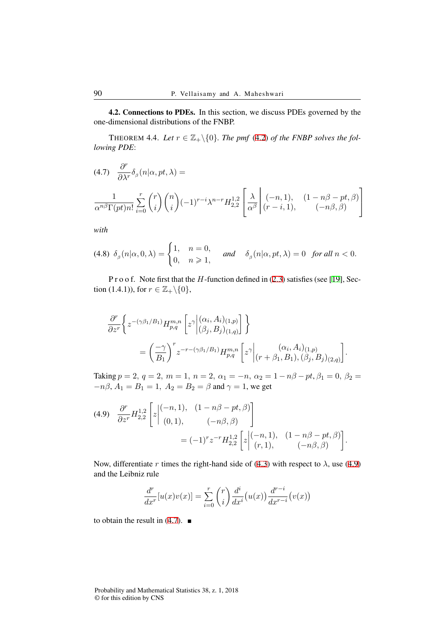4.2. Connections to PDEs. In this section, we discuss PDEs governed by the one-dimensional distributions of the FNBP.

THEOREM 4.4. Let  $r \in \mathbb{Z}_+ \backslash \{0\}$ . The pmf (4.2) of the FNBP solves the fol*lowing PDE*:

$$
(4.7) \quad \frac{\partial^r}{\partial \lambda^r} \delta_\beta(n|\alpha, pt, \lambda) =
$$
  

$$
\frac{1}{\alpha^{n\beta} \Gamma(pt)n!} \sum_{i=0}^r \binom{r}{i} \binom{n}{i} (-1)^{r-i} \lambda^{n-r} H_{2,2}^{1,2} \left[ \frac{\lambda}{\alpha^\beta} \left| \begin{array}{cc} (-n,1), & (1-n\beta - pt, \beta) \\ (r-i,1), & (-n\beta, \beta) \end{array} \right|
$$

*with*

$$
(4.8) \delta_{\beta}(n|\alpha,0,\lambda) = \begin{cases} 1, & n=0, \\ 0, & n \geqslant 1, \end{cases} \quad \text{and} \quad \delta_{\beta}(n|\alpha,pt,\lambda) = 0 \quad \text{for all } n < 0.
$$

P r o o f. Note first that the *H*-function defined in (2.3) satisfies (see [19], Section (1.4.1)), for  $r \in \mathbb{Z}_+ \backslash \{0\}$ ,

$$
\frac{\partial^r}{\partial z^r} \left\{ z^{-(\gamma\beta_1/B_1)} H_{p,q}^{m,n} \left[ z^{\gamma} \middle| \begin{pmatrix} (\alpha_i, A_i)_{(1,p)} \\ (\beta_j, B_j)_{(1,q)} \end{pmatrix} \right] \right\}
$$
\n
$$
= \left( \frac{-\gamma}{B_1} \right)^r z^{-r - (\gamma\beta_1/B_1)} H_{p,q}^{m,n} \left[ z^{\gamma} \middle|_{(r+\beta_1, B_1), (\beta_j, B_j)_{(2,q)}} \right].
$$

Taking  $p = 2$ ,  $q = 2$ ,  $m = 1$ ,  $n = 2$ ,  $\alpha_1 = -n$ ,  $\alpha_2 = 1 - n\beta - pt$ ,  $\beta_1 = 0$ ,  $\beta_2 =$  $-n\beta$ ,  $A_1 = B_1 = 1$ ,  $A_2 = B_2 = \beta$  and  $\gamma = 1$ , we get

$$
(4.9) \quad \frac{\partial^r}{\partial z^r} H_{2,2}^{1,2} \left[ z \Big|^{(-n,1), (1 - n\beta - pt, \beta)}_{(0,1), (-n\beta, \beta)} \right] = (-1)^r z^{-r} H_{2,2}^{1,2} \left[ z \Big|^{(-n,1), (1 - n\beta - pt, \beta)}_{(r,1), (-n\beta, \beta)} \right].
$$

Now, differentiate *r* times the right-hand side of (4.3) with respect to  $\lambda$ , use (4.9) and the Leibniz rule

$$
\frac{d^r}{dx^r}[u(x)v(x)] = \sum_{i=0}^r \binom{r}{i} \frac{d^i}{dx^i}(u(x)) \frac{d^{r-i}}{dx^{r-i}}(v(x))
$$

to obtain the result in  $(4.7)$ .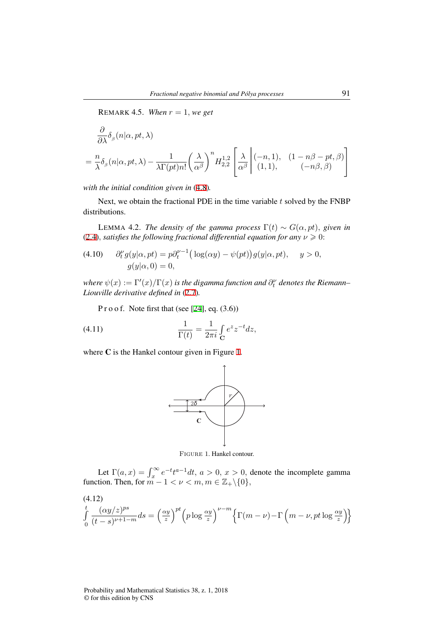REMARK 4.5. *When*  $r = 1$ *, we get* 

$$
\frac{\partial}{\partial \lambda} \delta_{\beta} (n | \alpha, pt, \lambda)
$$
\n
$$
= \frac{n}{\lambda} \delta_{\beta} (n | \alpha, pt, \lambda) - \frac{1}{\lambda \Gamma(pt) n!} \left( \frac{\lambda}{\alpha^{\beta}} \right)^n H_{2,2}^{1,2} \left[ \frac{\lambda}{\alpha^{\beta}} \left| \begin{array}{l} (-n,1), (1 - n\beta - pt, \beta) \\ (1,1), (1 - n\beta, \beta) \end{array} \right|
$$

*with the initial condition given in* (4.8)*.*

Next, we obtain the fractional PDE in the time variable *t* solved by the FNBP distributions.

**LEMMA 4.2.** *The density of the gamma process*  $\Gamma(t) \sim G(\alpha, pt)$ *, given in* (2.4)*, satisfies the following fractional differential equation for any*  $\nu \ge 0$ :

(4.10) 
$$
\partial_t^{\nu} g(y|\alpha, pt) = p \partial_t^{\nu-1} \Big( \log(\alpha y) - \psi(pt) \Big) g(y|\alpha, pt), \quad y > 0,
$$

$$
g(y|\alpha, 0) = 0,
$$

 $\psi(x) := \Gamma'(x)/\Gamma(x)$  is the digamma function and  $\partial_t^\nu$  denotes the Riemann– *Liouville derivative defined in* (2.7)*.*

P r o o f. Note first that (see [24], eq.  $(3.6)$ )

(4.11) 
$$
\frac{1}{\Gamma(t)} = \frac{1}{2\pi i} \int_{\mathbf{C}} e^z z^{-t} dz,
$$

where C is the Hankel contour given in Figure 1.



Figure 1. Hankel contour.

Let  $\Gamma(a, x) = \int_x^{\infty} e^{-t} t^{a-1} dt$ ,  $a > 0$ ,  $x > 0$ , denote the incomplete gamma function. Then, for  $m - 1 < \nu < m, m \in \mathbb{Z}_+ \backslash \{0\},$ 

∫ *t*  $\boldsymbol{0}$ (*αy/z*) *ps*  $\frac{(\alpha y/z)^{p\alpha}}{(t-s)^{\nu+1-m}}$ *ds* =  $\left(\frac{\alpha y}{z}\right)$  $\int_{z}^{\frac{xy}{2}} \int^{pt} \left( p \log \frac{\alpha y}{z} \right)^{\nu-m} \left\{ \Gamma(m-\nu) - \Gamma\left(m-\nu, pt \log \frac{\alpha y}{z} \right) \right\}$ (4.12)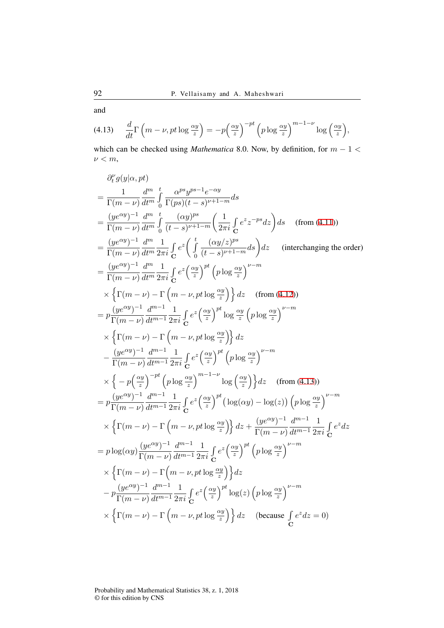and

$$
(4.13) \quad \frac{d}{dt}\Gamma\left(m-\nu,pt\log\frac{\alpha y}{z}\right)=-p\left(\frac{\alpha y}{z}\right)^{-pt}\left(p\log\frac{\alpha y}{z}\right)^{m-1-\nu}\log\left(\frac{\alpha y}{z}\right),
$$

which can be checked using *Mathematica* 8.0. Now, by definition, for *m −* 1 *< ν < m*,

$$
\frac{\partial_{t}^{2}g(y|\alpha,pt)}{\Gamma(m-\nu)} = \frac{1}{\Gamma(m-\nu)} \frac{d^{m}}{dt^{m}} \int_{0}^{t} \frac{\alpha^{p}s y^{p s-1} e^{-\alpha y}}{\Gamma(p s)(t-s)^{\nu+1-m}} ds
$$
\n
$$
= \frac{(ye^{\alpha y})^{-1}}{\Gamma(m-\nu)} \frac{d^{m}}{dt^{m}} \int_{0}^{t} \frac{(\alpha y)^{p s}}{(t-s)^{\nu+1-m}} \left(\frac{1}{2\pi i} \int_{0}^{t} e^{z} e^{-ps} dz\right) ds \quad \text{(from (4.11))}
$$
\n
$$
= \frac{(ye^{\alpha y})^{-1}}{\Gamma(m-\nu)} \frac{d^{m}}{dt^{m}} \frac{1}{2\pi i} \int_{0}^{t} e^{z} \left(\int_{0}^{t} \frac{(\alpha y/z)^{p s}}{(t-s)^{\nu+1-m}} ds\right) dz \quad \text{(interchanging the order)}
$$
\n
$$
= \frac{(ye^{\alpha y})^{-1}}{\Gamma(m-\nu)} \frac{d^{m}}{dt^{m}} \frac{1}{2\pi i} \int_{0}^{t} e^{z} \left(\frac{\alpha y}{z}\right)^{pt} (p \log \frac{\alpha y}{z})^{\nu-m}
$$
\n
$$
\times \left\{ \Gamma(m-\nu) - \Gamma(m-\nu,pt\log\frac{\alpha y}{z}) \right\} dz \quad \text{(from (4.12))}
$$
\n
$$
= p \frac{(ye^{\alpha y})^{-1}}{\Gamma(m-\nu)} \frac{d^{m-1}}{dt^{m-1}} \frac{1}{2\pi i} \int_{0}^{t} e^{z} \left(\frac{\alpha y}{z}\right)^{pt} \log \frac{\alpha y}{z} (p \log \frac{\alpha y}{z})^{\nu-m}
$$
\n
$$
\times \left\{ \Gamma(m-\nu) - \Gamma(m-\nu,pt\log\frac{\alpha y}{z}) \right\} dz
$$
\n
$$
- \frac{(ye^{\alpha y})^{-1}}{\Gamma(m-\nu)} \frac{d^{m-1}}{dt^{m-1}} \frac{1}{2\pi i} \int_{0}^{t} e^{z} \left(\frac{\alpha y}{z}\right)^{pt} (p \log \frac{\alpha y}{z})^{\nu-m}
$$
\n
$$
\times \left\{ -p \left(\frac{\alpha y}{z}\right)^{-pt} (p \log \frac{\alpha y}{z})^{
$$

Probability and Mathematical Statistics 38, z. 1, 2018 © for this edition by CNS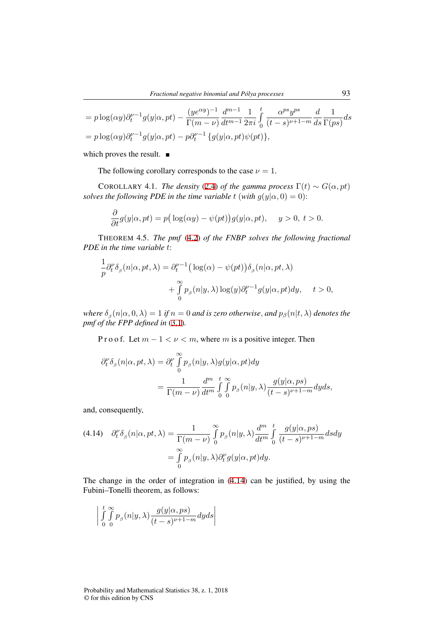$$
= p \log(\alpha y) \partial_t^{\nu-1} g(y|\alpha, pt) - \frac{(ye^{\alpha y})^{-1}}{\Gamma(m - \nu)} \frac{d^{m-1}}{dt^{m-1}} \frac{1}{2\pi i} \int_0^t \frac{\alpha^{ps} y^{ps}}{(t - s)^{\nu+1-m}} \frac{d}{ds} \frac{1}{\Gamma(ps)} ds
$$
  
=  $p \log(\alpha y) \partial_t^{\nu-1} g(y|\alpha, pt) - p \partial_t^{\nu-1} \{g(y|\alpha, pt)\psi(pt)\},$ 

which proves the result.  $\blacksquare$ 

The following corollary corresponds to the case  $\nu = 1$ .

COROLLARY 4.1. *The density* (2.4) *of the gamma process*  $\Gamma(t) \sim G(\alpha, pt)$ *solves the following PDE in the time variable <i>t* (*with*  $g(y|\alpha, 0) = 0$ ):

$$
\frac{\partial}{\partial t}g(y|\alpha, pt) = p\big(\log(\alpha y) - \psi(pt)\big)g(y|\alpha, pt), \quad y > 0, t > 0.
$$

THEOREM 4.5. *The pmf* (4.2) *of the FNBP solves the following fractional PDE in the time variable t*:

$$
\frac{1}{p}\partial_t^{\nu}\delta_{\beta}(n|\alpha, pt, \lambda) = \partial_t^{\nu-1} \big( \log(\alpha) - \psi(pt) \big) \delta_{\beta}(n|\alpha, pt, \lambda) \n+ \int_0^{\infty} p_{\beta}(n|y, \lambda) \log(y) \partial_t^{\nu-1} g(y|\alpha, pt) dy, \quad t > 0,
$$

 $\delta_{\beta}(n|\alpha,0,\lambda) = 1$  if  $n = 0$  and is zero otherwise, and  $p_{\beta}(n|t,\lambda)$  denotes the *pmf of the FPP defined in* (3.1)*.*

P r o o f. Let  $m − 1 < \nu < m$ , where  $m$  is a positive integer. Then

$$
\partial_t^{\nu} \delta_{\beta}(n|\alpha, pt, \lambda) = \partial_t^{\nu} \int_0^{\infty} p_{\beta}(n|y, \lambda) g(y|\alpha, pt) dy
$$
  
= 
$$
\frac{1}{\Gamma(m - \nu)} \frac{d^m}{dt^m} \int_0^t \int_0^{\infty} p_{\beta}(n|y, \lambda) \frac{g(y|\alpha, ps)}{(t - s)^{\nu + 1 - m}} dy ds,
$$

and, consequently,

$$
(4.14) \quad \partial_t^{\nu} \delta_{\beta}(n|\alpha, pt, \lambda) = \frac{1}{\Gamma(m - \nu)} \int_0^{\infty} p_{\beta}(n|y, \lambda) \frac{d^m}{dt^m} \int_0^t \frac{g(y|\alpha, ps)}{(t - s)^{\nu + 1 - m}} ds dy
$$

$$
= \int_0^{\infty} p_{\beta}(n|y, \lambda) \partial_t^{\nu} g(y|\alpha, pt) dy.
$$

The change in the order of integration in (4.14) can be justified, by using the Fubini–Tonelli theorem, as follows:

$$
\left| \int_{0}^{t} \int_{0}^{\infty} p_{\beta}(n|y,\lambda) \frac{g(y|\alpha, ps)}{(t-s)^{\nu+1-m}} dyds \right|
$$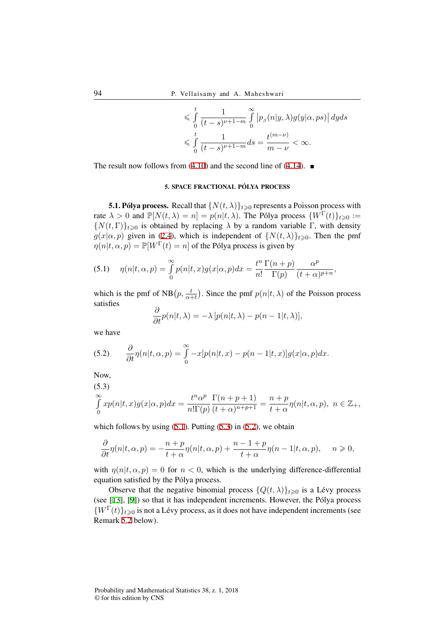$$
\leqslant \int_{0}^{t} \frac{1}{(t-s)^{\nu+1-m}} \int_{0}^{\infty} \left| p_{\beta}(n|y,\lambda) g(y|\alpha,ps) \right| dyds
$$
  

$$
\leqslant \int_{0}^{t} \frac{1}{(t-s)^{\nu+1-m}} ds = \frac{t^{(m-\nu)}}{m-\nu} < \infty.
$$

The result now follows from (4.10) and the second line of (4.14).  $\blacksquare$ 

### 5. SPACE FRACTIONAL PÓLYA PROCESS

**5.1. Pólya process.** Recall that  $\{N(t, \lambda)\}_{t \geq 0}$  represents a Poisson process with rate  $\lambda > 0$  and  $\mathbb{P}[N(t,\lambda) = n] = p(n|t,\lambda)$ . The Pólya process  $\{W^{\Gamma}(t)\}_{t \geq 0}$  :=  ${N(t,\Gamma)}_{t\geq0}$  is obtained by replacing  $\lambda$  by a random variable Γ, with density  $g(x|\alpha, p)$  given in (2.4), which is independent of  $\{N(t, \lambda)\}_{t \geq 0}$ . Then the pmf  $\eta(n|t, \alpha, p) = \mathbb{P}[W^{\Gamma}(t) = n]$  of the Pólya process is given by

(5.1) 
$$
\eta(n|t,\alpha,p) = \int_{0}^{\infty} p(n|t,x)g(x|\alpha,p)dx = \frac{t^n}{n!} \frac{\Gamma(n+p)}{\Gamma(p)} \frac{\alpha^p}{(t+\alpha)^{p+n}},
$$

which is the pmf of  $NB(p, \frac{t}{\alpha+t})$ . Since the pmf  $p(n|t, \lambda)$  of the Poisson process satisfies

$$
\frac{\partial}{\partial t}p(n|t,\lambda) = -\lambda \left[ p(n|t,\lambda) - p(n-1|t,\lambda) \right],
$$

we have

(5.2) 
$$
\frac{\partial}{\partial t}\eta(n|t,\alpha,p) = \int_{0}^{\infty} -x[p(n|t,x) - p(n-1|t,x)]g(x|\alpha,p)dx.
$$

Now,

(5.3)

$$
\int_{0}^{\infty} x p(n|t,x) g(x|\alpha, p) dx = \frac{t^n \alpha^p}{n! \Gamma(p)} \frac{\Gamma(n+p+1)}{(t+\alpha)^{n+p+1}} = \frac{n+p}{t+\alpha} \eta(n|t,\alpha, p), \ n \in \mathbb{Z}_+,
$$

which follows by using  $(5.1)$ . Putting  $(5.3)$  in  $(5.2)$ , we obtain

$$
\frac{\partial}{\partial t}\eta(n|t,\alpha,p)=-\frac{n+p}{t+\alpha}\eta(n|t,\alpha,p)+\frac{n-1+p}{t+\alpha}\eta(n-1|t,\alpha,p),\quad n\geqslant 0,
$$

with  $\eta(n|t,\alpha,p) = 0$  for  $n < 0$ , which is the underlying difference-differential equation satisfied by the Pólya process.

Observe that the negative binomial process  $\{Q(t, \lambda)\}_{t \geq 0}$  is a Lévy process (see [13], [9]) so that it has independent increments. However, the Pólya process  ${W}^{(\Gamma)}(t)$ <sub>*t* $\geq 0$ </sub> is not a Lévy process, as it does not have independent increments (see Remark 5.2 below).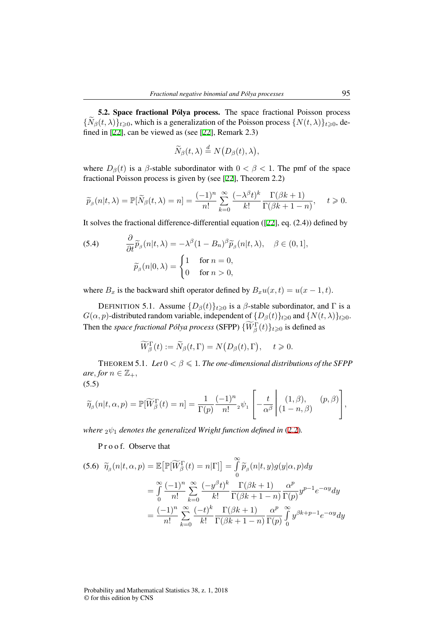5.2. Space fractional Pólya process. The space fractional Poisson process  ${\{\widetilde{N}_{\beta}(t,\lambda)\}_{t\geq0}}$ , which is a generalization of the Poisson process  ${\{N(t,\lambda)\}_{t\geq0}}$ , defined in [22], can be viewed as (see [22], Remark 2.3)

$$
\widetilde{N}_{\beta}(t,\lambda) \stackrel{d}{=} N\big(D_{\beta}(t),\lambda\big),\,
$$

where  $D_{\beta}(t)$  is a  $\beta$ -stable subordinator with  $0 < \beta < 1$ . The pmf of the space fractional Poisson process is given by (see [22], Theorem 2.2)

$$
\widetilde{p}_{\beta}(n|t,\lambda) = \mathbb{P}[\widetilde{N}_{\beta}(t,\lambda) = n] = \frac{(-1)^n}{n!} \sum_{k=0}^{\infty} \frac{(-\lambda^{\beta}t)^k}{k!} \frac{\Gamma(\beta k + 1)}{\Gamma(\beta k + 1 - n)}, \quad t \geq 0.
$$

It solves the fractional difference-differential equation ([22], eq. (2.4)) defined by

(5.4) 
$$
\frac{\partial}{\partial t} \widetilde{p}_{\beta}(n|t,\lambda) = -\lambda^{\beta} (1 - B_n)^{\beta} \widetilde{p}_{\beta}(n|t,\lambda), \quad \beta \in (0,1],
$$

$$
\widetilde{p}_{\beta}(n|0,\lambda) = \begin{cases} 1 & \text{for } n = 0, \\ 0 & \text{for } n > 0, \end{cases}
$$

where  $B_x$  is the backward shift operator defined by  $B_x u(x,t) = u(x-1,t)$ .

DEFINITION 5.1. Assume  ${D_\beta(t)}_{t\geq0}$  is a *β*-stable subordinator, and  $\Gamma$  is a *G*( $\alpha$ ,  $p$ )-distributed random variable, independent of  $\{D_\beta(t)\}_{t\geq0}$  and  $\{N(t,\lambda)\}_{t\geq0}$ . Then the *space fractional Pólya process* (SFPP)  $\{W_\beta^{\Gamma}(t)\}_{t\geqslant 0}$  is defined as

$$
\widetilde{W}_{\beta}^{\Gamma}(t) := \widetilde{N}_{\beta}(t, \Gamma) = N(D_{\beta}(t), \Gamma), \quad t \geqslant 0.
$$

THEOREM 5.1. *Let*  $0 < \beta \leqslant 1$ . *The one-dimensional distributions of the SFPP*  $are, for n \in \mathbb{Z}_+,$ (5.5)

$$
\widetilde{\eta}_{\beta}(n|t,\alpha,p) = \mathbb{P}[\widetilde{W}_{\beta}^{\Gamma}(t) = n] = \frac{1}{\Gamma(p)} \frac{(-1)^n}{n!} \psi_1 \left[ -\frac{t}{\alpha^{\beta}} \middle| \begin{array}{cc} (1,\beta), & (p,\beta) \\ (1-n,\beta) & \end{array} \right],
$$

*where*  $2\psi_1$  *denotes the generalized Wright function defined in* (2.2).

P r o o f. Observe that

*∂*

$$
(5.6) \ \widetilde{\eta}_{\beta}(n|t,\alpha,p) = \mathbb{E}\big[\mathbb{P}[\widetilde{W}_{\beta}^{\Gamma}(t) = n|\Gamma]\big] = \int_{0}^{\infty} \widetilde{p}_{\beta}(n|t,y)g(y|\alpha,p)dy
$$

$$
= \int_{0}^{\infty} \frac{(-1)^{n}}{n!} \sum_{k=0}^{\infty} \frac{(-y^{\beta}t)^{k}}{k!} \frac{\Gamma(\beta k+1)}{\Gamma(\beta k+1-n)} \frac{\alpha^{p}}{\Gamma(p)} y^{p-1} e^{-\alpha y} dy
$$

$$
= \frac{(-1)^{n}}{n!} \sum_{k=0}^{\infty} \frac{(-t)^{k}}{k!} \frac{\Gamma(\beta k+1)}{\Gamma(\beta k+1-n)} \frac{\alpha^{p}}{\Gamma(p)} \int_{0}^{\infty} y^{\beta k+p-1} e^{-\alpha y} dy
$$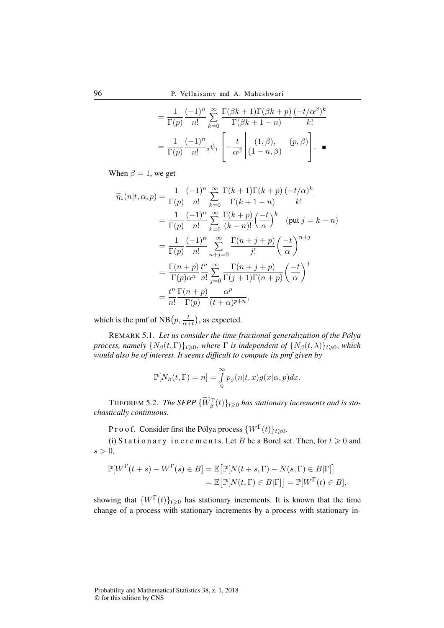$$
= \frac{1}{\Gamma(p)} \frac{(-1)^n}{n!} \sum_{k=0}^{\infty} \frac{\Gamma(\beta k+1)\Gamma(\beta k+p)}{\Gamma(\beta k+1-n)} \frac{(-t/\alpha^{\beta})^k}{k!}
$$

$$
= \frac{1}{\Gamma(p)} \frac{(-1)^n}{n!} {}_2 \psi_1 \left[ -\frac{t}{\alpha^{\beta}} \middle| (1, \beta), (p, \beta) \right]. \quad \blacksquare
$$

When  $\beta = 1$ , we get

$$
\widetilde{\eta}_1(n|t,\alpha,p) = \frac{1}{\Gamma(p)} \frac{(-1)^n}{n!} \sum_{k=0}^{\infty} \frac{\Gamma(k+1)\Gamma(k+p)}{\Gamma(k+1-n)} \frac{(-t/\alpha)^k}{k!}
$$

$$
= \frac{1}{\Gamma(p)} \frac{(-1)^n}{n!} \sum_{k=0}^{\infty} \frac{\Gamma(k+p)}{(k-n)!} \left(\frac{-t}{\alpha}\right)^k \quad (\text{put } j = k-n)
$$

$$
= \frac{1}{\Gamma(p)} \frac{(-1)^n}{n!} \sum_{n+j=0}^{\infty} \frac{\Gamma(n+j+p)}{j!} \left(\frac{-t}{\alpha}\right)^{n+j}
$$

$$
= \frac{\Gamma(n+p)}{\Gamma(p)\alpha^n} \frac{t^n}{n!} \sum_{j=0}^{\infty} \frac{\Gamma(n+j+p)}{\Gamma(j+1)\Gamma(n+p)} \left(\frac{-t}{\alpha}\right)^j
$$

$$
= \frac{t^n}{n!} \frac{\Gamma(n+p)}{\Gamma(p)} \frac{\alpha^p}{(t+\alpha)^{p+n}},
$$

which is the pmf of NB $(p, \frac{t}{\alpha+t})$ , as expected.

REMARK 5.1. *Let us consider the time fractional generalization of the Polya ´ process, namely*  $\{N_\beta(t, \Gamma)\}_{t \geq 0}$ *, where*  $\Gamma$  *is independent of*  $\{N_\beta(t, \lambda)\}_{t \geq 0}$ *, which would also be of interest. It seems difficult to compute its pmf given by*

$$
\mathbb{P}[N_{\beta}(t,\Gamma)=n]=\int_{0}^{\infty}p_{\beta}(n|t,x)g(x|\alpha,p)dx.
$$

**THEOREM 5.2.** *The SFPP*  $\{\widetilde{W}_{\beta}^{\Gamma}(t)\}_{t\geqslant0}$  *has stationary increments and is stochastically continuous.*

P r o o f. Consider first the Pólya process  $\{W^{\Gamma}(t)\}_{t\geq0}$ .

(i) S t a t i o n a r y i n c r e m e n t s. Let *B* be a Borel set. Then, for  $t \ge 0$  and  $s > 0$ ,

$$
\mathbb{P}[W^{\Gamma}(t+s) - W^{\Gamma}(s) \in B] = \mathbb{E}\big[\mathbb{P}[N(t+s,\Gamma) - N(s,\Gamma) \in B|\Gamma]\big] \n= \mathbb{E}\big[\mathbb{P}[N(t,\Gamma) \in B|\Gamma]\big] = \mathbb{P}[W^{\Gamma}(t) \in B],
$$

showing that  ${W^{\Gamma}(t)}_{t\geqslant0}$  has stationary increments. It is known that the time change of a process with stationary increments by a process with stationary in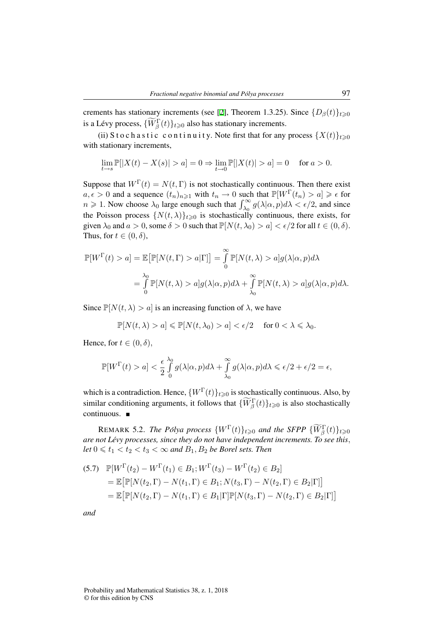crements has stationary increments (see [2], Theorem 1.3.25). Since  ${D_\beta(t)}_{t\geq0}$ is a Lévy process,  $\{\widetilde{W}_{\beta}^{\Gamma}(t)\}_{t\geqslant0}$  also has stationary increments.

(ii) S t o c h a s t i c c o n t i n u i t y. Note first that for any process  $\{X(t)\}_{t\geq0}$ with stationary increments,

$$
\lim_{t \to s} \mathbb{P}[|X(t) - X(s)| > a] = 0 \Rightarrow \lim_{t \to 0} \mathbb{P}[|X(t)| > a] = 0 \text{ for } a > 0.
$$

Suppose that  $W^{\Gamma}(t) = N(t, \Gamma)$  is not stochastically continuous. Then there exist  $a, \epsilon > 0$  and a sequence  $(t_n)_{n \geq 1}$  with  $t_n \to 0$  such that  $\mathbb{P}[W^{\Gamma}(t_n) > a] \geq \epsilon$  for  $n \ge 1$ . Now choose  $\lambda_0$  large enough such that  $\int_{\lambda_0}^{\infty} g(\lambda | \alpha, p) d\lambda < \epsilon/2$ , and since the Poisson process  $\{N(t,\lambda)\}_{t\geqslant0}$  is stochastically continuous, there exists, for given  $\lambda_0$  and  $a > 0$ , some  $\delta > 0$  such that  $\mathbb{P}[N(t, \lambda_0) > a] < \epsilon/2$  for all  $t \in (0, \delta)$ . Thus, for  $t \in (0, \delta)$ ,

$$
\mathbb{P}[W^{\Gamma}(t) > a] = \mathbb{E}\big[\mathbb{P}[N(t,\Gamma) > a|\Gamma]\big] = \int_{0}^{\infty} \mathbb{P}[N(t,\lambda) > a]g(\lambda|\alpha, p)d\lambda
$$

$$
= \int_{0}^{\lambda_0} \mathbb{P}[N(t,\lambda) > a]g(\lambda|\alpha, p)d\lambda + \int_{\lambda_0}^{\infty} \mathbb{P}[N(t,\lambda) > a]g(\lambda|\alpha, p)d\lambda.
$$

Since  $\mathbb{P}[N(t,\lambda) > a]$  is an increasing function of  $\lambda$ , we have

$$
\mathbb{P}[N(t,\lambda) > a] \le \mathbb{P}[N(t,\lambda_0) > a] < \epsilon/2 \quad \text{ for } 0 < \lambda \le \lambda_0.
$$

Hence, for  $t \in (0, \delta)$ ,

$$
\mathbb{P}[W^{\Gamma}(t) > a] < \frac{\epsilon}{2} \int_{0}^{\lambda_0} g(\lambda|\alpha, p) d\lambda + \int_{\lambda_0}^{\infty} g(\lambda|\alpha, p) d\lambda \le \epsilon/2 + \epsilon/2 = \epsilon,
$$

which is a contradiction. Hence,  $\{W^{\Gamma}(t)\}_{t\geq0}$  is stochastically continuous. Also, by similar conditioning arguments, it follows that  $\{W_{\beta}^{\Gamma}(t)\}_{t\geq0}$  is also stochastically continuous.

**REMARK 5.2.** *The Polya process*  $\{W^{\Gamma}(t)\}_{t\geqslant0}$  *and the SFPP*  $\{\widetilde{W}_{\beta}^{\Gamma}(t)\}_{t\geqslant0}$ *are not Lévy processes, since they do not have independent increments. To see this, let*  $0 \le t_1 < t_2 < t_3 < \infty$  *and*  $B_1, B_2$  *be Borel sets. Then* 

(5.7) 
$$
\mathbb{P}[W^{\Gamma}(t_2) - W^{\Gamma}(t_1) \in B_1; W^{\Gamma}(t_3) - W^{\Gamma}(t_2) \in B_2]
$$
  
\n
$$
= \mathbb{E}[\mathbb{P}[N(t_2, \Gamma) - N(t_1, \Gamma) \in B_1; N(t_3, \Gamma) - N(t_2, \Gamma) \in B_2 | \Gamma]]
$$
  
\n
$$
= \mathbb{E}[\mathbb{P}[N(t_2, \Gamma) - N(t_1, \Gamma) \in B_1 | \Gamma] \mathbb{P}[N(t_3, \Gamma) - N(t_2, \Gamma) \in B_2 | \Gamma]]
$$

*and*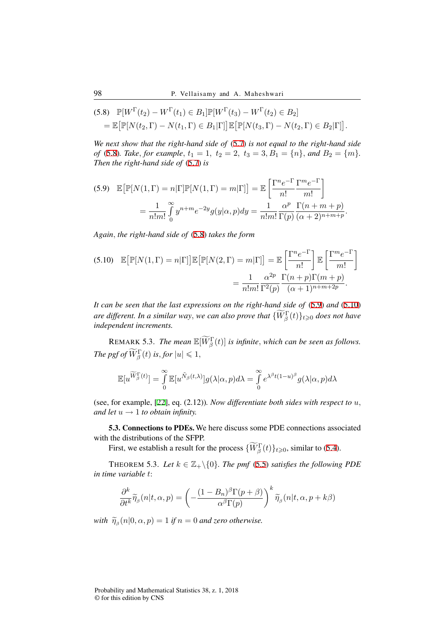$$
\begin{aligned} \text{(5.8)} \quad &\mathbb{P}[W^{\Gamma}(t_2) - W^{\Gamma}(t_1) \in B_1] \mathbb{P}[W^{\Gamma}(t_3) - W^{\Gamma}(t_2) \in B_2] \\ &= \mathbb{E}\big[\mathbb{P}[N(t_2, \Gamma) - N(t_1, \Gamma) \in B_1 | \Gamma]\big] \mathbb{E}\big[\mathbb{P}[N(t_3, \Gamma) - N(t_2, \Gamma) \in B_2 | \Gamma]\big]. \end{aligned}
$$

*We next show that the right-hand side of* (5.7) *is not equal to the right-hand side of* (5.8)*. Take, for example,*  $t_1 = 1$ ,  $t_2 = 2$ ,  $t_3 = 3$ ,  $B_1 = \{n\}$ *, and*  $B_2 = \{m\}$ *. Then the right-hand side of* (5.7) *is*

(5.9) 
$$
\mathbb{E}\big[\mathbb{P}[N(1,\Gamma) = n|\Gamma]\mathbb{P}[N(1,\Gamma) = m|\Gamma]\big] = \mathbb{E}\left[\frac{\Gamma^n e^{-\Gamma}}{n!} \frac{\Gamma^m e^{-\Gamma}}{m!}\right]
$$

$$
= \frac{1}{n!m!} \int_0^\infty y^{n+m} e^{-2y} g(y|\alpha, p) dy = \frac{1}{n!m!} \frac{\alpha^p}{\Gamma(p)} \frac{\Gamma(n+m+p)}{(\alpha+2)^{n+m+p}}.
$$

*Again, the right-hand side of* (5.8) *takes the form*

(5.10) 
$$
\mathbb{E}\big[\mathbb{P}[N(1,\Gamma) = n|\Gamma]\big]\mathbb{E}\big[\mathbb{P}[N(2,\Gamma) = m|\Gamma]\big] = \mathbb{E}\left[\frac{\Gamma^n e^{-\Gamma}}{n!}\right] \mathbb{E}\left[\frac{\Gamma^m e^{-\Gamma}}{m!}\right]
$$

$$
= \frac{1}{n!m!} \frac{\alpha^{2p}}{\Gamma^2(p)} \frac{\Gamma(n+p)\Gamma(m+p)}{(\alpha+1)^{n+m+2p}}.
$$

*It can be seen that the last expressions on the right-hand side of* (5.9) *and* (5.10) *are different. In a similar way, we can also prove that*  $\{W_\beta^{\Gamma}(t)\}_{t\geqslant0}$  does not have *independent increments.*

REMARK 5.3. *The mean*  $\mathbb{E}[\widetilde{W}_{\beta}^{\Gamma}(t)]$  *is infinite*, *which can be seen as follows. The pgf of*  $\widetilde{W}_{\beta}^{\Gamma}(t)$  *is, for*  $|u| \leq 1$ ,

$$
\mathbb{E}[u^{\widetilde{W}_{\beta}^{\Gamma}(t)}] = \int_{0}^{\infty} \mathbb{E}[u^{\tilde{N}_{\beta}(t,\lambda)}]g(\lambda|\alpha, p)d\lambda = \int_{0}^{\infty} e^{\lambda^{\beta}t(1-u)^{\beta}}g(\lambda|\alpha, p)d\lambda
$$

(see, for example, [22], eq. (2.12))*. Now differentiate both sides with respect to u, and let*  $u \rightarrow 1$  *to obtain infinity.* 

5.3. Connections to PDEs. We here discuss some PDE connections associated with the distributions of the SFPP.

First, we establish a result for the process  $\{\widetilde{W}_{\beta}^{\Gamma}(t)\}_{t\geqslant0}$ , similar to (5.4).

THEOREM 5.3. Let  $k \in \mathbb{Z}_+ \backslash \{0\}$ . The pmf (5.5) satisfies the following PDE *in time variable t*:

$$
\frac{\partial^k}{\partial t^k} \widetilde{\eta}_{\beta}(n|t,\alpha,p) = \left(-\frac{(1-B_n)^{\beta} \Gamma(p+\beta)}{\alpha^{\beta} \Gamma(p)}\right)^k \widetilde{\eta}_{\beta}(n|t,\alpha,p+k\beta)
$$

*with*  $\widetilde{\eta}_{\beta}(n|0,\alpha,p) = 1$  *if*  $n = 0$  *and zero otherwise.*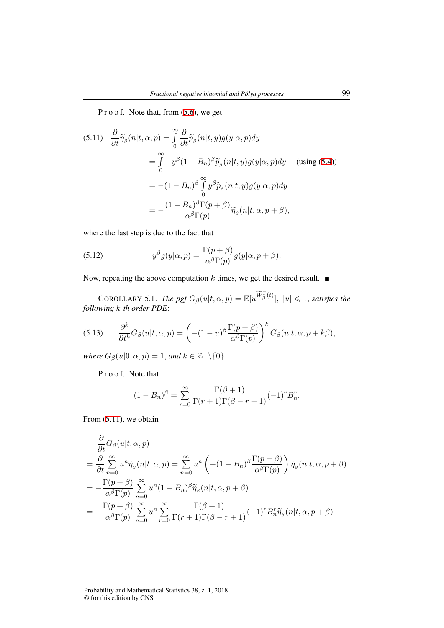P r o o f. Note that, from  $(5.6)$ , we get

(5.11) 
$$
\frac{\partial}{\partial t} \widetilde{\eta}_{\beta}(n|t,\alpha,p) = \int_{0}^{\infty} \frac{\partial}{\partial t} \widetilde{p}_{\beta}(n|t,y)g(y|\alpha,p)dy
$$

$$
= \int_{0}^{\infty} -y^{\beta}(1-B_n)^{\beta} \widetilde{p}_{\beta}(n|t,y)g(y|\alpha,p)dy \quad \text{(using (5.4))}
$$

$$
= -(1-B_n)^{\beta} \int_{0}^{\infty} y^{\beta} \widetilde{p}_{\beta}(n|t,y)g(y|\alpha,p)dy
$$

$$
= -\frac{(1-B_n)^{\beta}\Gamma(p+\beta)}{\alpha^{\beta}\Gamma(p)} \widetilde{\eta}_{\beta}(n|t,\alpha,p+\beta),
$$

where the last step is due to the fact that

(5.12) 
$$
y^{\beta} g(y|\alpha, p) = \frac{\Gamma(p+\beta)}{\alpha^{\beta} \Gamma(p)} g(y|\alpha, p+\beta).
$$

Now, repeating the above computation  $k$  times, we get the desired result.  $\blacksquare$ 

 $C$ OROLLARY 5.1. *The pgf*  $G_{\beta}(u|t,\alpha,p) = \mathbb{E}[u^{\widetilde{W}_{\beta}^{\Gamma}(t)}], |u| \leq 1$ , *satisfies the following k-th order PDE*:

(5.13) 
$$
\frac{\partial^k}{\partial t^k} G_{\beta}(u|t,\alpha,p) = \left(-(1-u)^{\beta} \frac{\Gamma(p+\beta)}{\alpha^{\beta} \Gamma(p)}\right)^k G_{\beta}(u|t,\alpha,p+k\beta),
$$

*where*  $G_{\beta}(u|0, \alpha, p) = 1$ *, and*  $k \in \mathbb{Z}_+ \setminus \{0\}$ *.* 

P r o o f. Note that

$$
(1 - Bn)\beta = \sum_{r=0}^{\infty} \frac{\Gamma(\beta + 1)}{\Gamma(r+1)\Gamma(\beta - r + 1)} (-1)^r B_n^r.
$$

From (5.11), we obtain

$$
\frac{\partial}{\partial t} G_{\beta}(u|t,\alpha,p) \n= \frac{\partial}{\partial t} \sum_{n=0}^{\infty} u^n \widetilde{\eta}_{\beta}(n|t,\alpha,p) = \sum_{n=0}^{\infty} u^n \left( -(1 - B_n)^{\beta} \frac{\Gamma(p + \beta)}{\alpha^{\beta} \Gamma(p)} \right) \widetilde{\eta}_{\beta}(n|t,\alpha,p + \beta) \n= -\frac{\Gamma(p + \beta)}{\alpha^{\beta} \Gamma(p)} \sum_{n=0}^{\infty} u^n (1 - B_n)^{\beta} \widetilde{\eta}_{\beta}(n|t,\alpha,p + \beta) \n= -\frac{\Gamma(p + \beta)}{\alpha^{\beta} \Gamma(p)} \sum_{n=0}^{\infty} u^n \sum_{r=0}^{\infty} \frac{\Gamma(\beta + 1)}{\Gamma(r + 1) \Gamma(\beta - r + 1)} (-1)^r B_n^r \widetilde{\eta}_{\beta}(n|t,\alpha,p + \beta)
$$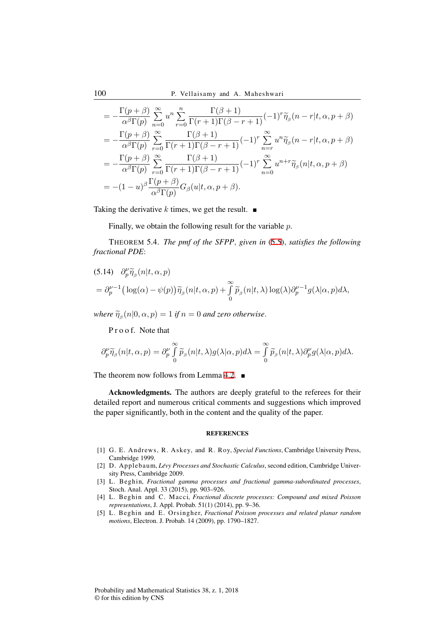100 P. Vellaisamy and A. Maheshwari

$$
= -\frac{\Gamma(p+\beta)}{\alpha^{\beta}\Gamma(p)} \sum_{n=0}^{\infty} u^{n} \sum_{r=0}^{n} \frac{\Gamma(\beta+1)}{\Gamma(r+1)\Gamma(\beta-r+1)} (-1)^{r} \widetilde{\eta}_{\beta}(n-r|t,\alpha,p+\beta)
$$
  
\n
$$
= -\frac{\Gamma(p+\beta)}{\alpha^{\beta}\Gamma(p)} \sum_{r=0}^{\infty} \frac{\Gamma(\beta+1)}{\Gamma(r+1)\Gamma(\beta-r+1)} (-1)^{r} \sum_{n=r}^{\infty} u^{n} \widetilde{\eta}_{\beta}(n-r|t,\alpha,p+\beta)
$$
  
\n
$$
= -\frac{\Gamma(p+\beta)}{\alpha^{\beta}\Gamma(p)} \sum_{r=0}^{\infty} \frac{\Gamma(\beta+1)}{\Gamma(r+1)\Gamma(\beta-r+1)} (-1)^{r} \sum_{n=0}^{\infty} u^{n+r} \widetilde{\eta}_{\beta}(n|t,\alpha,p+\beta)
$$
  
\n
$$
= -(1-u)^{\beta} \frac{\Gamma(p+\beta)}{\alpha^{\beta}\Gamma(p)} G_{\beta}(u|t,\alpha,p+\beta).
$$

Taking the derivative *k* times, we get the result.  $\blacksquare$ 

Finally, we obtain the following result for the variable *p*.

THEOREM 5.4. *The pmf of the SFPP, given in* (5.5)*, satisfies the following fractional PDE*:

(5.14) 
$$
\partial_p^{\nu} \widetilde{\eta}_{\beta}(n|t,\alpha,p)
$$
  
=  $\partial_p^{\nu-1} (\log(\alpha) - \psi(p)) \widetilde{\eta}_{\beta}(n|t,\alpha,p) + \int_0^{\infty} \widetilde{p}_{\beta}(n|t,\lambda) \log(\lambda) \partial_p^{\nu-1} g(\lambda|\alpha,p) d\lambda,$ 

*where*  $\widetilde{\eta}_{\beta}(n|0,\alpha,p) = 1$  *if*  $n = 0$  *and zero otherwise*.

P r o o f. Note that

$$
\partial_p^{\nu} \widetilde{\eta}_{\beta}(n|t,\alpha,p) = \partial_p^{\nu} \int_{0}^{\infty} \widetilde{p}_{\beta}(n|t,\lambda) g(\lambda|\alpha,p) d\lambda = \int_{0}^{\infty} \widetilde{p}_{\beta}(n|t,\lambda) \partial_p^{\nu} g(\lambda|\alpha,p) d\lambda.
$$

The theorem now follows from Lemma 4.2.  $\blacksquare$ 

Acknowledgments. The authors are deeply grateful to the referees for their detailed report and numerous critical comments and suggestions which improved the paper significantly, both in the content and the quality of the paper.

### **REFERENCES**

- [1] G. E. Andrews, R. Askey, and R. Roy, *Special Functions*, Cambridge University Press, Cambridge 1999.
- [2] D. Applebaum, *Lévy Processes and Stochastic Calculus*, second edition, Cambridge University Press, Cambridge 2009.
- [3] L. Beghin, *Fractional gamma processes and fractional gamma-subordinated processes*, Stoch. Anal. Appl. 33 (2015), pp. 903–926.
- [4] L. Beghin and C. Macci, *Fractional discrete processes: Compound and mixed Poisson representations*, J. Appl. Probab. 51(1) (2014), pp. 9–36.
- [5] L. Beghin and E. Orsingher, *Fractional Poisson processes and related planar random motions*, Electron. J. Probab. 14 (2009), pp. 1790–1827.